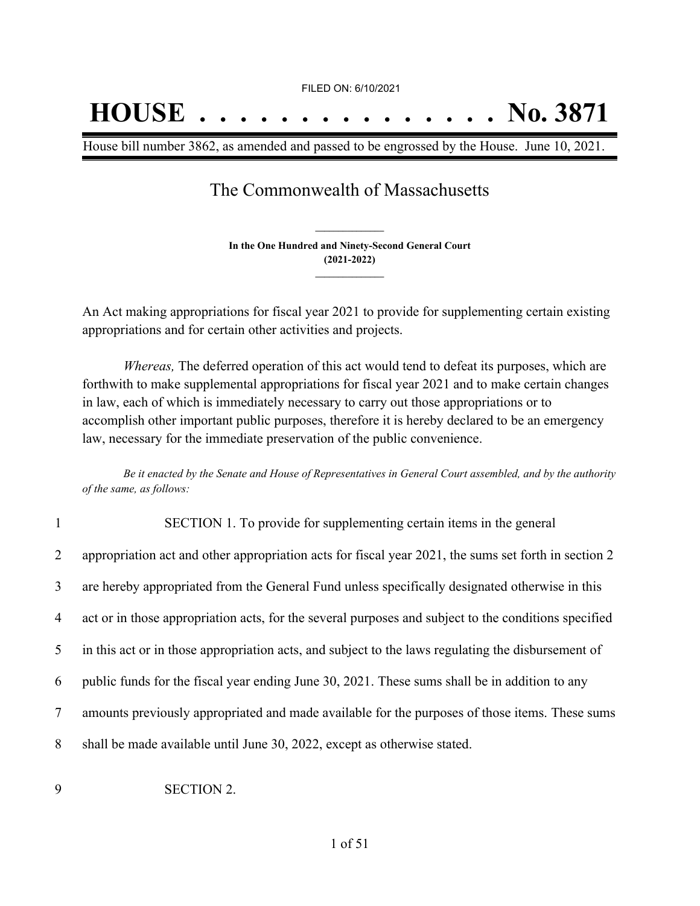## **HOUSE . . . . . . . . . . . . . . . No. 3871**

House bill number 3862, as amended and passed to be engrossed by the House. June 10, 2021.

## The Commonwealth of Massachusetts

**In the One Hundred and Ninety-Second General Court (2021-2022) \_\_\_\_\_\_\_\_\_\_\_\_\_\_\_**

**\_\_\_\_\_\_\_\_\_\_\_\_\_\_\_**

An Act making appropriations for fiscal year 2021 to provide for supplementing certain existing appropriations and for certain other activities and projects.

*Whereas,* The deferred operation of this act would tend to defeat its purposes, which are forthwith to make supplemental appropriations for fiscal year 2021 and to make certain changes in law, each of which is immediately necessary to carry out those appropriations or to accomplish other important public purposes, therefore it is hereby declared to be an emergency law, necessary for the immediate preservation of the public convenience.

Be it enacted by the Senate and House of Representatives in General Court assembled, and by the authority *of the same, as follows:*

| $\mathbf{1}$   | SECTION 1. To provide for supplementing certain items in the general                                 |
|----------------|------------------------------------------------------------------------------------------------------|
| $\overline{2}$ | appropriation act and other appropriation acts for fiscal year 2021, the sums set forth in section 2 |
| 3              | are hereby appropriated from the General Fund unless specifically designated otherwise in this       |
| 4              | act or in those appropriation acts, for the several purposes and subject to the conditions specified |
| 5              | in this act or in those appropriation acts, and subject to the laws regulating the disbursement of   |
| 6              | public funds for the fiscal year ending June 30, 2021. These sums shall be in addition to any        |
| 7              | amounts previously appropriated and made available for the purposes of those items. These sums       |
| 8              | shall be made available until June 30, 2022, except as otherwise stated.                             |
|                |                                                                                                      |

9 SECTION 2.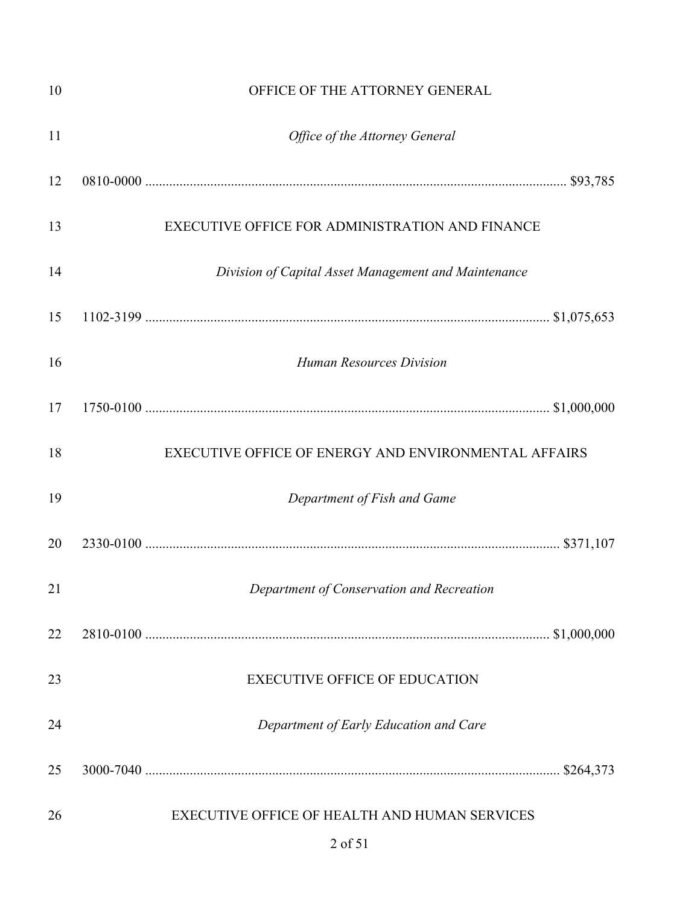| 10 | OFFICE OF THE ATTORNEY GENERAL                           |  |
|----|----------------------------------------------------------|--|
| 11 | Office of the Attorney General                           |  |
| 12 |                                                          |  |
| 13 | EXECUTIVE OFFICE FOR ADMINISTRATION AND FINANCE          |  |
| 14 | Division of Capital Asset Management and Maintenance     |  |
| 15 |                                                          |  |
| 16 | <b>Human Resources Division</b>                          |  |
| 17 |                                                          |  |
| 18 | EXECUTIVE OFFICE OF ENERGY AND ENVIRONMENTAL AFFAIRS     |  |
| 19 | Department of Fish and Game                              |  |
| 20 |                                                          |  |
| 21 | Department of Conservation and Recreation                |  |
| 22 |                                                          |  |
| 23 | <b>EXECUTIVE OFFICE OF EDUCATION</b>                     |  |
| 24 | Department of Early Education and Care                   |  |
| 25 |                                                          |  |
| 26 | EXECUTIVE OFFICE OF HEALTH AND HUMAN SERVICES<br>2 of 51 |  |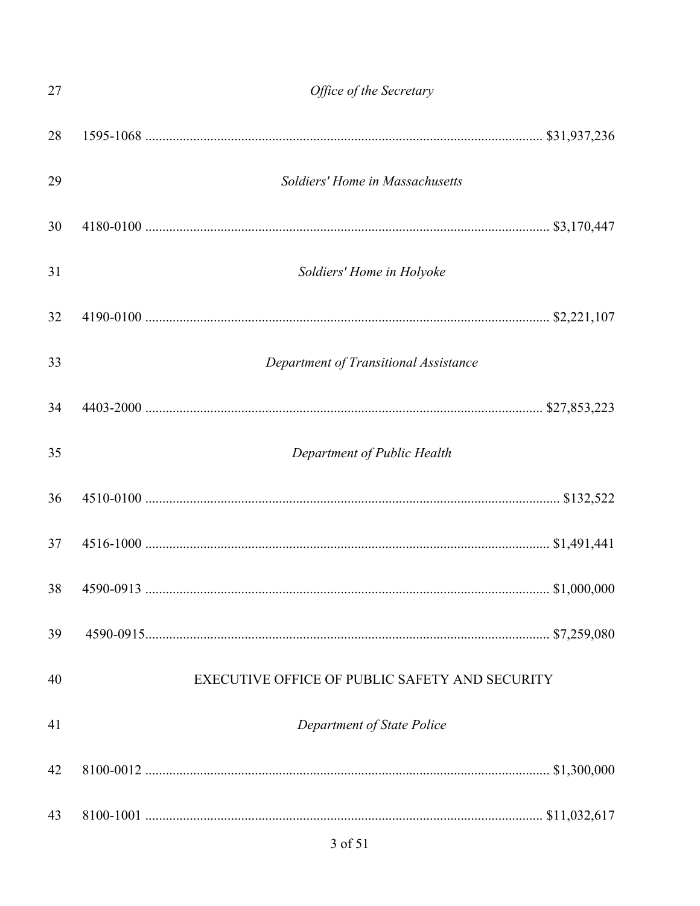| 27 | Office of the Secretary                        |
|----|------------------------------------------------|
| 28 |                                                |
| 29 | Soldiers' Home in Massachusetts                |
| 30 |                                                |
| 31 | Soldiers' Home in Holyoke                      |
| 32 |                                                |
| 33 | Department of Transitional Assistance          |
| 34 |                                                |
| 35 | Department of Public Health                    |
| 36 |                                                |
| 37 |                                                |
| 38 |                                                |
| 39 |                                                |
| 40 | EXECUTIVE OFFICE OF PUBLIC SAFETY AND SECURITY |
| 41 | Department of State Police                     |
| 42 |                                                |
| 43 |                                                |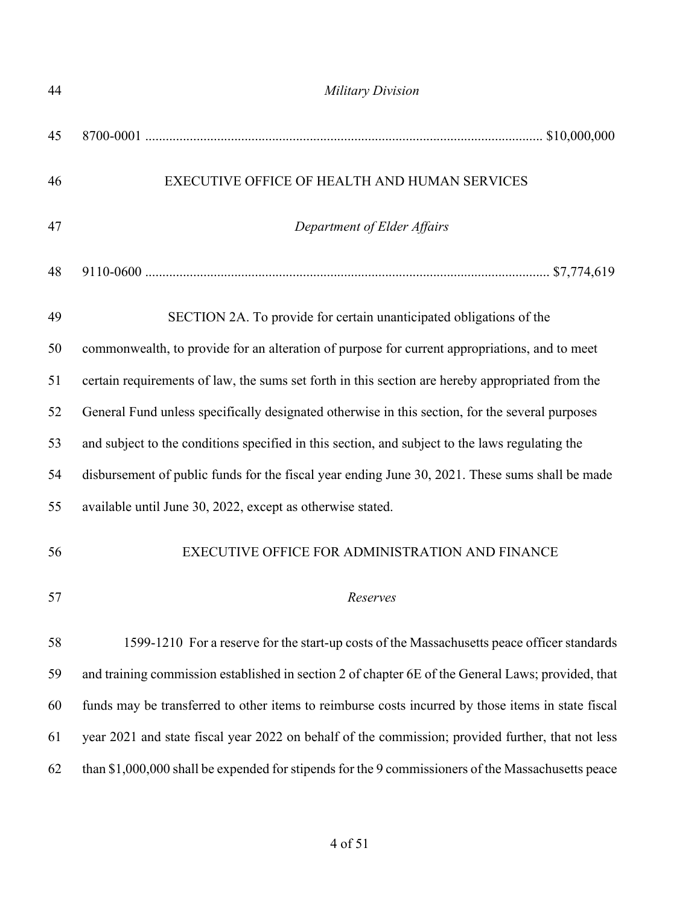| 44 | <b>Military Division</b>                                                                           |
|----|----------------------------------------------------------------------------------------------------|
| 45 |                                                                                                    |
| 46 | EXECUTIVE OFFICE OF HEALTH AND HUMAN SERVICES                                                      |
| 47 | Department of Elder Affairs                                                                        |
| 48 |                                                                                                    |
| 49 | SECTION 2A. To provide for certain unanticipated obligations of the                                |
| 50 | commonwealth, to provide for an alteration of purpose for current appropriations, and to meet      |
| 51 | certain requirements of law, the sums set forth in this section are hereby appropriated from the   |
| 52 | General Fund unless specifically designated otherwise in this section, for the several purposes    |
| 53 | and subject to the conditions specified in this section, and subject to the laws regulating the    |
| 54 | disbursement of public funds for the fiscal year ending June 30, 2021. These sums shall be made    |
| 55 | available until June 30, 2022, except as otherwise stated.                                         |
| 56 | EXECUTIVE OFFICE FOR ADMINISTRATION AND FINANCE                                                    |
| 57 | Reserves                                                                                           |
| 58 | 1599-1210 For a reserve for the start-up costs of the Massachusetts peace officer standards        |
| 59 | and training commission established in section 2 of chapter 6E of the General Laws; provided, that |
| 60 | funds may be transferred to other items to reimburse costs incurred by those items in state fiscal |
| 61 | year 2021 and state fiscal year 2022 on behalf of the commission; provided further, that not less  |
| 62 | than \$1,000,000 shall be expended for stipends for the 9 commissioners of the Massachusetts peace |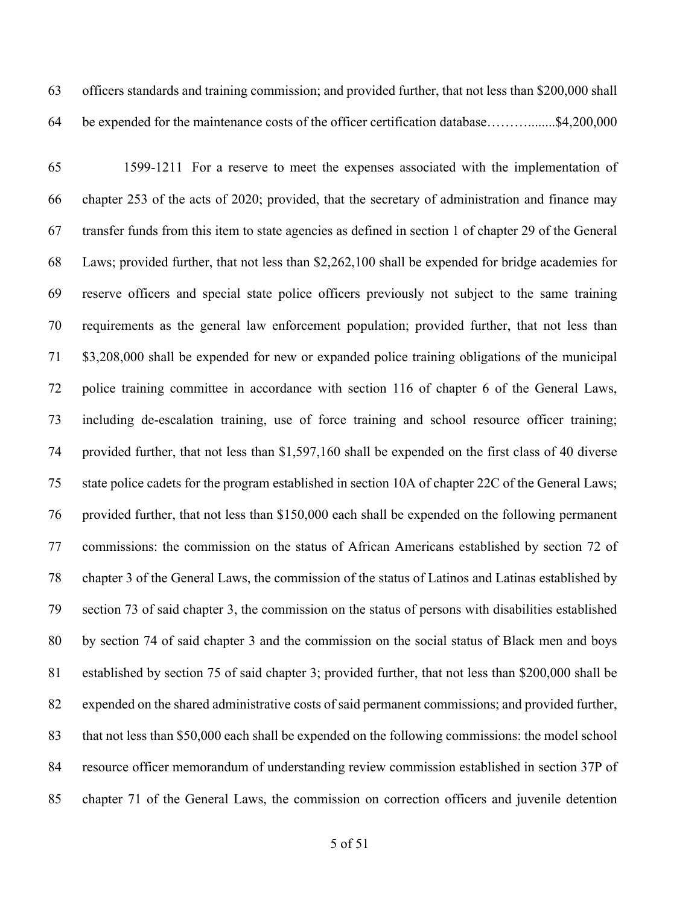officers standards and training commission; and provided further, that not less than \$200,000 shall be expended for the maintenance costs of the officer certification database………........\$4,200,000

 1599-1211 For a reserve to meet the expenses associated with the implementation of chapter 253 of the acts of 2020; provided, that the secretary of administration and finance may transfer funds from this item to state agencies as defined in section 1 of chapter 29 of the General Laws; provided further, that not less than \$2,262,100 shall be expended for bridge academies for reserve officers and special state police officers previously not subject to the same training requirements as the general law enforcement population; provided further, that not less than \$3,208,000 shall be expended for new or expanded police training obligations of the municipal police training committee in accordance with section 116 of chapter 6 of the General Laws, including de-escalation training, use of force training and school resource officer training; provided further, that not less than \$1,597,160 shall be expended on the first class of 40 diverse state police cadets for the program established in section 10A of chapter 22C of the General Laws; provided further, that not less than \$150,000 each shall be expended on the following permanent commissions: the commission on the status of African Americans established by section 72 of chapter 3 of the General Laws, the commission of the status of Latinos and Latinas established by section 73 of said chapter 3, the commission on the status of persons with disabilities established by section 74 of said chapter 3 and the commission on the social status of Black men and boys established by section 75 of said chapter 3; provided further, that not less than \$200,000 shall be expended on the shared administrative costs of said permanent commissions; and provided further, that not less than \$50,000 each shall be expended on the following commissions: the model school resource officer memorandum of understanding review commission established in section 37P of chapter 71 of the General Laws, the commission on correction officers and juvenile detention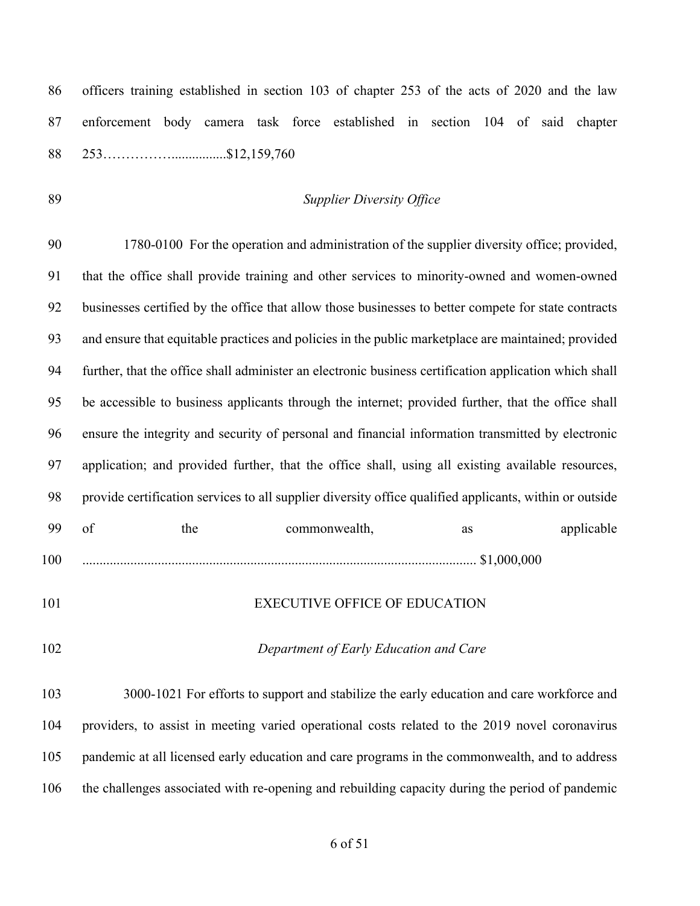| 86  | officers training established in section 103 of chapter 253 of the acts of 2020 and the law             |
|-----|---------------------------------------------------------------------------------------------------------|
| 87  | enforcement body camera task force established in section 104 of said chapter                           |
| 88  |                                                                                                         |
| 89  | <b>Supplier Diversity Office</b>                                                                        |
| 90  | 1780-0100 For the operation and administration of the supplier diversity office; provided,              |
| 91  | that the office shall provide training and other services to minority-owned and women-owned             |
| 92  | businesses certified by the office that allow those businesses to better compete for state contracts    |
| 93  | and ensure that equitable practices and policies in the public marketplace are maintained; provided     |
| 94  | further, that the office shall administer an electronic business certification application which shall  |
| 95  | be accessible to business applicants through the internet; provided further, that the office shall      |
| 96  | ensure the integrity and security of personal and financial information transmitted by electronic       |
| 97  | application; and provided further, that the office shall, using all existing available resources,       |
| 98  | provide certification services to all supplier diversity office qualified applicants, within or outside |
| 99  | of<br>the<br>applicable<br>commonwealth,<br>as                                                          |
| 100 |                                                                                                         |
| 101 | <b>EXECUTIVE OFFICE OF EDUCATION</b>                                                                    |
| 102 | Department of Early Education and Care                                                                  |
| 103 | 3000-1021 For efforts to support and stabilize the early education and care workforce and               |
| 104 | providers, to assist in meeting varied operational costs related to the 2019 novel coronavirus          |
| 105 | pandemic at all licensed early education and care programs in the commonwealth, and to address          |
| 106 | the challenges associated with re-opening and rebuilding capacity during the period of pandemic         |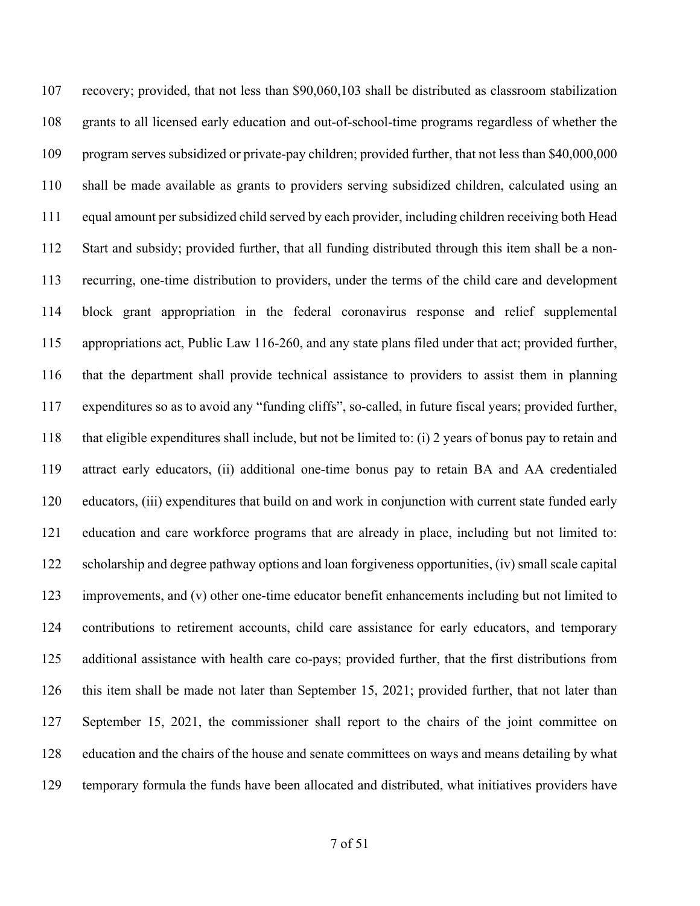recovery; provided, that not less than \$90,060,103 shall be distributed as classroom stabilization grants to all licensed early education and out-of-school-time programs regardless of whether the program serves subsidized or private-pay children; provided further, that not less than \$40,000,000 shall be made available as grants to providers serving subsidized children, calculated using an equal amount per subsidized child served by each provider, including children receiving both Head Start and subsidy; provided further, that all funding distributed through this item shall be a non- recurring, one-time distribution to providers, under the terms of the child care and development block grant appropriation in the federal coronavirus response and relief supplemental appropriations act, Public Law 116-260, and any state plans filed under that act; provided further, that the department shall provide technical assistance to providers to assist them in planning expenditures so as to avoid any "funding cliffs", so-called, in future fiscal years; provided further, that eligible expenditures shall include, but not be limited to: (i) 2 years of bonus pay to retain and attract early educators, (ii) additional one-time bonus pay to retain BA and AA credentialed educators, (iii) expenditures that build on and work in conjunction with current state funded early education and care workforce programs that are already in place, including but not limited to: scholarship and degree pathway options and loan forgiveness opportunities, (iv) small scale capital improvements, and (v) other one-time educator benefit enhancements including but not limited to contributions to retirement accounts, child care assistance for early educators, and temporary additional assistance with health care co-pays; provided further, that the first distributions from this item shall be made not later than September 15, 2021; provided further, that not later than September 15, 2021, the commissioner shall report to the chairs of the joint committee on education and the chairs of the house and senate committees on ways and means detailing by what temporary formula the funds have been allocated and distributed, what initiatives providers have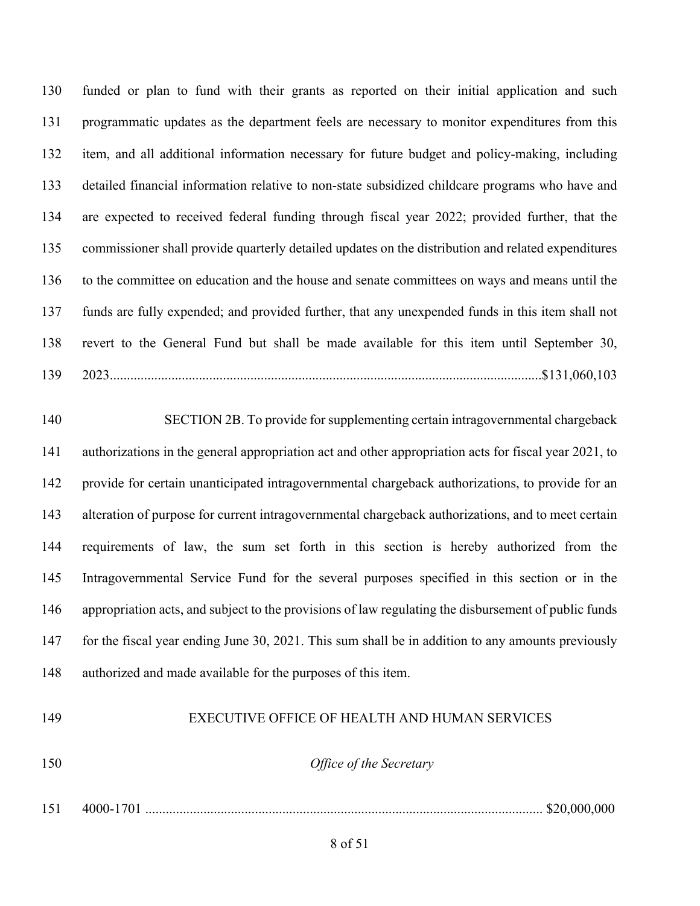funded or plan to fund with their grants as reported on their initial application and such programmatic updates as the department feels are necessary to monitor expenditures from this item, and all additional information necessary for future budget and policy-making, including detailed financial information relative to non-state subsidized childcare programs who have and are expected to received federal funding through fiscal year 2022; provided further, that the commissioner shall provide quarterly detailed updates on the distribution and related expenditures to the committee on education and the house and senate committees on ways and means until the funds are fully expended; and provided further, that any unexpended funds in this item shall not revert to the General Fund but shall be made available for this item until September 30, 2023..............................................................................................................................\$131,060,103

 SECTION 2B. To provide forsupplementing certain intragovernmental chargeback authorizations in the general appropriation act and other appropriation acts for fiscal year 2021, to provide for certain unanticipated intragovernmental chargeback authorizations, to provide for an alteration of purpose for current intragovernmental chargeback authorizations, and to meet certain requirements of law, the sum set forth in this section is hereby authorized from the Intragovernmental Service Fund for the several purposes specified in this section or in the appropriation acts, and subject to the provisions of law regulating the disbursement of public funds for the fiscal year ending June 30, 2021. This sum shall be in addition to any amounts previously authorized and made available for the purposes of this item.

## EXECUTIVE OFFICE OF HEALTH AND HUMAN SERVICES

*Office of the Secretary*

4000-1701 .................................................................................................................... \$20,000,000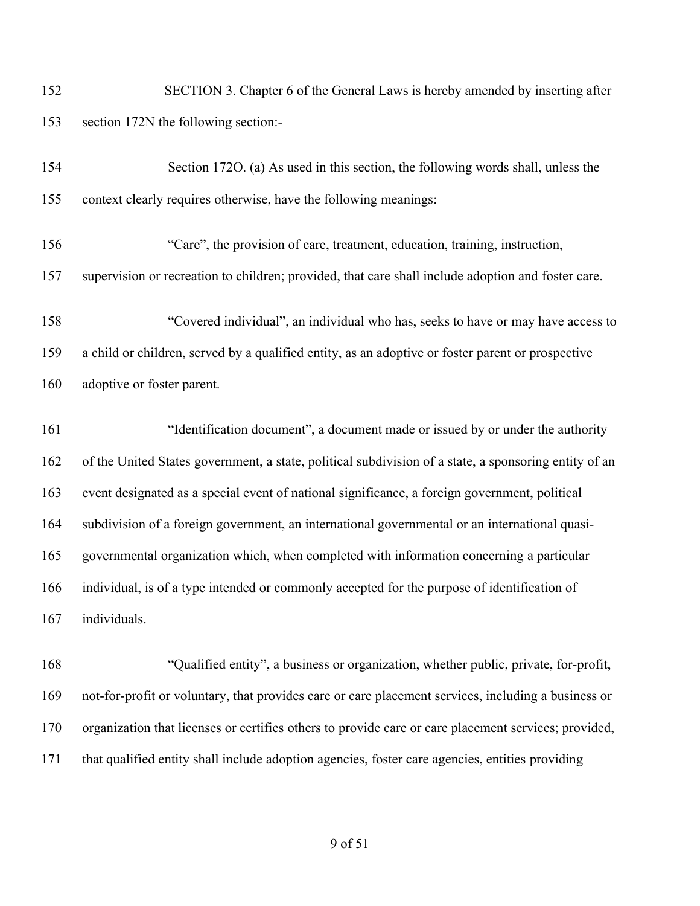SECTION 3. Chapter 6 of the General Laws is hereby amended by inserting after section 172N the following section:-

| 154 | Section 1720. (a) As used in this section, the following words shall, unless the                      |
|-----|-------------------------------------------------------------------------------------------------------|
| 155 | context clearly requires otherwise, have the following meanings:                                      |
| 156 | "Care", the provision of care, treatment, education, training, instruction,                           |
| 157 | supervision or recreation to children; provided, that care shall include adoption and foster care.    |
| 158 | "Covered individual", an individual who has, seeks to have or may have access to                      |
| 159 | a child or children, served by a qualified entity, as an adoptive or foster parent or prospective     |
| 160 | adoptive or foster parent.                                                                            |
| 161 | "Identification document", a document made or issued by or under the authority                        |
| 162 | of the United States government, a state, political subdivision of a state, a sponsoring entity of an |
| 163 | event designated as a special event of national significance, a foreign government, political         |
| 164 | subdivision of a foreign government, an international governmental or an international quasi-         |
| 165 | governmental organization which, when completed with information concerning a particular              |
| 166 | individual, is of a type intended or commonly accepted for the purpose of identification of           |
| 167 | individuals.                                                                                          |
| 168 | "Qualified entity", a business or organization, whether public, private, for-profit,                  |
| 169 | not-for-profit or voluntary, that provides care or care placement services, including a business or   |
| 170 | organization that licenses or certifies others to provide care or care placement services; provided,  |

that qualified entity shall include adoption agencies, foster care agencies, entities providing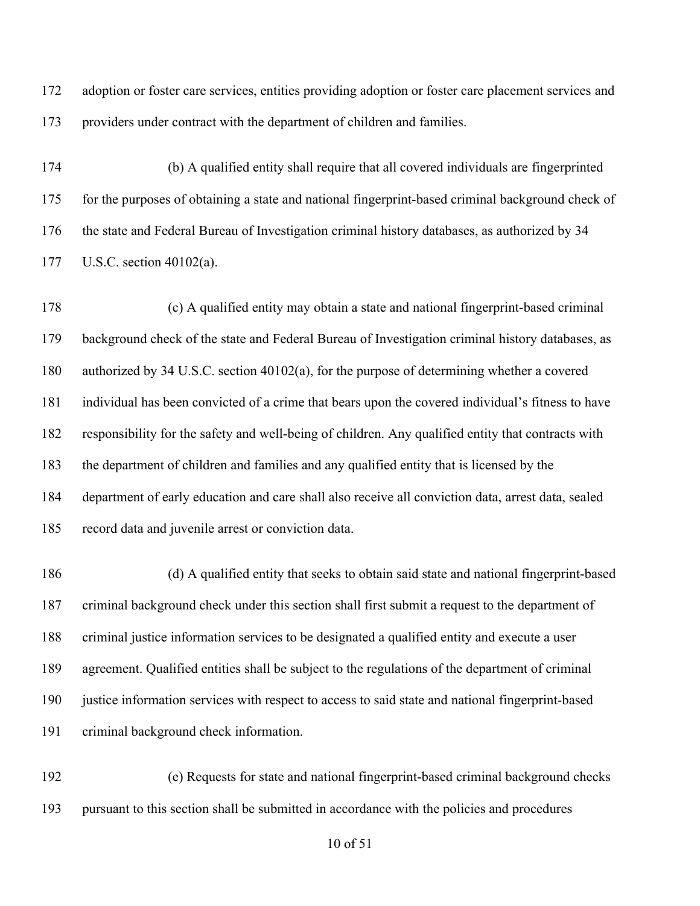adoption or foster care services, entities providing adoption or foster care placement services and providers under contract with the department of children and families.

 (b) A qualified entity shall require that all covered individuals are fingerprinted for the purposes of obtaining a state and national fingerprint-based criminal background check of the state and Federal Bureau of Investigation criminal history databases, as authorized by 34 U.S.C. section 40102(a).

 (c) A qualified entity may obtain a state and national fingerprint-based criminal background check of the state and Federal Bureau of Investigation criminal history databases, as authorized by 34 U.S.C. section 40102(a), for the purpose of determining whether a covered individual has been convicted of a crime that bears upon the covered individual's fitness to have responsibility for the safety and well-being of children. Any qualified entity that contracts with the department of children and families and any qualified entity that is licensed by the department of early education and care shall also receive all conviction data, arrest data, sealed record data and juvenile arrest or conviction data.

 (d) A qualified entity that seeks to obtain said state and national fingerprint-based criminal background check under this section shall first submit a request to the department of criminal justice information services to be designated a qualified entity and execute a user agreement. Qualified entities shall be subject to the regulations of the department of criminal justice information services with respect to access to said state and national fingerprint-based criminal background check information.

 (e) Requests for state and national fingerprint-based criminal background checks pursuant to this section shall be submitted in accordance with the policies and procedures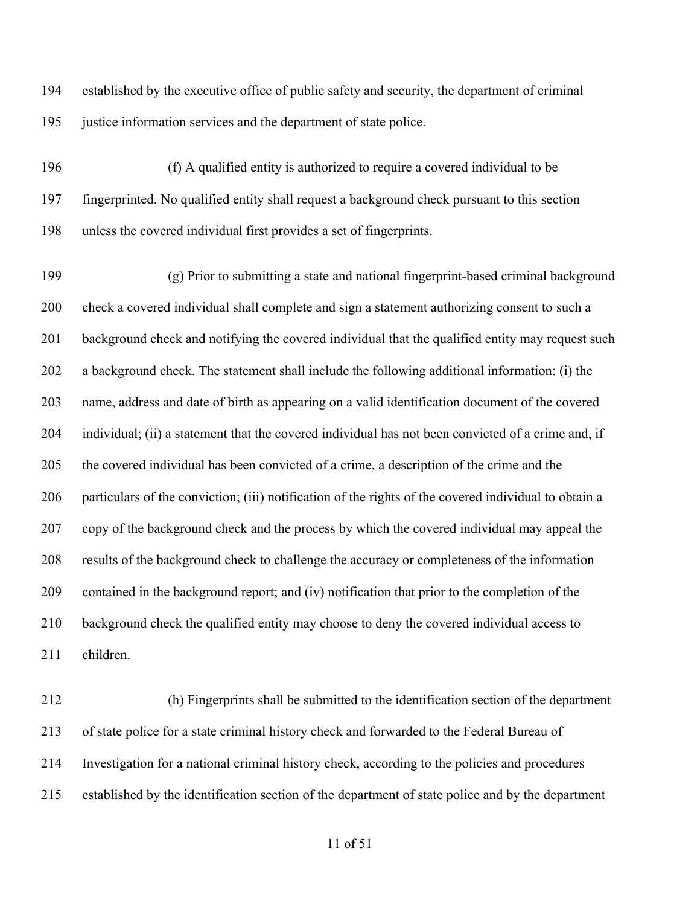established by the executive office of public safety and security, the department of criminal justice information services and the department of state police.

 (f) A qualified entity is authorized to require a covered individual to be fingerprinted. No qualified entity shall request a background check pursuant to this section unless the covered individual first provides a set of fingerprints.

 (g) Prior to submitting a state and national fingerprint-based criminal background check a covered individual shall complete and sign a statement authorizing consent to such a background check and notifying the covered individual that the qualified entity may request such a background check. The statement shall include the following additional information: (i) the name, address and date of birth as appearing on a valid identification document of the covered individual; (ii) a statement that the covered individual has not been convicted of a crime and, if the covered individual has been convicted of a crime, a description of the crime and the particulars of the conviction; (iii) notification of the rights of the covered individual to obtain a copy of the background check and the process by which the covered individual may appeal the results of the background check to challenge the accuracy or completeness of the information contained in the background report; and (iv) notification that prior to the completion of the background check the qualified entity may choose to deny the covered individual access to children.

 (h) Fingerprints shall be submitted to the identification section of the department of state police for a state criminal history check and forwarded to the Federal Bureau of Investigation for a national criminal history check, according to the policies and procedures established by the identification section of the department of state police and by the department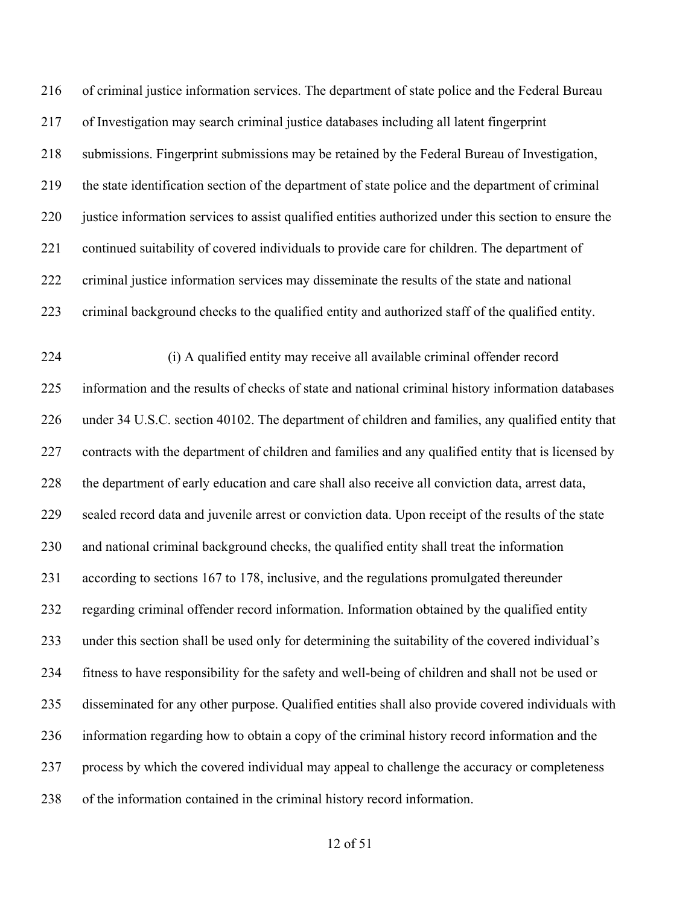of criminal justice information services. The department of state police and the Federal Bureau of Investigation may search criminal justice databases including all latent fingerprint submissions. Fingerprint submissions may be retained by the Federal Bureau of Investigation, the state identification section of the department of state police and the department of criminal justice information services to assist qualified entities authorized under this section to ensure the continued suitability of covered individuals to provide care for children. The department of criminal justice information services may disseminate the results of the state and national criminal background checks to the qualified entity and authorized staff of the qualified entity. (i) A qualified entity may receive all available criminal offender record information and the results of checks of state and national criminal history information databases under 34 U.S.C. section 40102. The department of children and families, any qualified entity that contracts with the department of children and families and any qualified entity that is licensed by the department of early education and care shall also receive all conviction data, arrest data, sealed record data and juvenile arrest or conviction data. Upon receipt of the results of the state and national criminal background checks, the qualified entity shall treat the information according to sections 167 to 178, inclusive, and the regulations promulgated thereunder regarding criminal offender record information. Information obtained by the qualified entity under this section shall be used only for determining the suitability of the covered individual's

 fitness to have responsibility for the safety and well-being of children and shall not be used or disseminated for any other purpose. Qualified entities shall also provide covered individuals with information regarding how to obtain a copy of the criminal history record information and the process by which the covered individual may appeal to challenge the accuracy or completeness

of the information contained in the criminal history record information.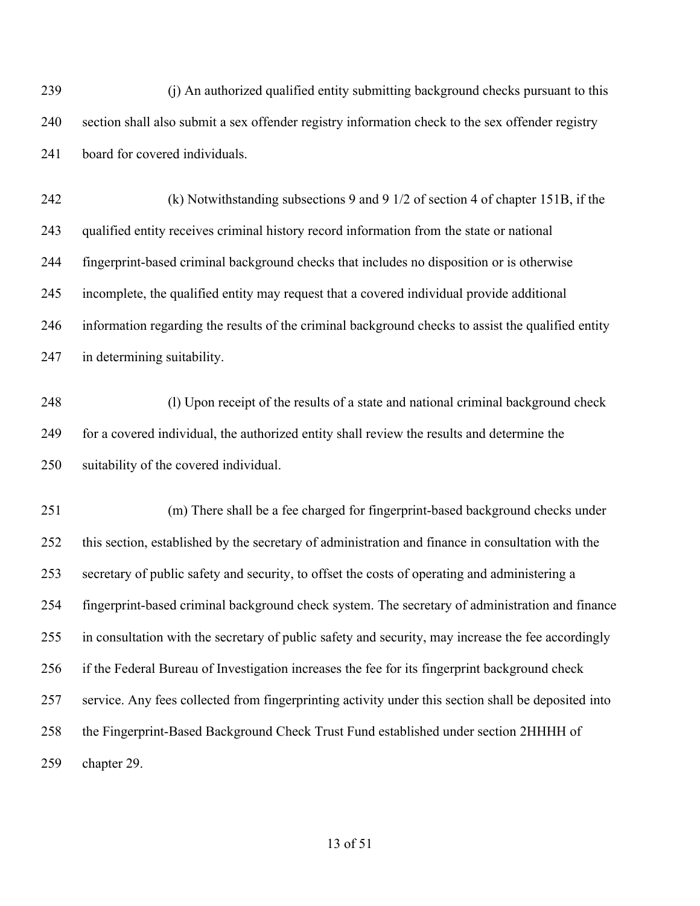(j) An authorized qualified entity submitting background checks pursuant to this section shall also submit a sex offender registry information check to the sex offender registry board for covered individuals.

 (k) Notwithstanding subsections 9 and 9 1/2 of section 4 of chapter 151B, if the qualified entity receives criminal history record information from the state or national fingerprint-based criminal background checks that includes no disposition or is otherwise incomplete, the qualified entity may request that a covered individual provide additional information regarding the results of the criminal background checks to assist the qualified entity in determining suitability.

 (l) Upon receipt of the results of a state and national criminal background check for a covered individual, the authorized entity shall review the results and determine the suitability of the covered individual.

 (m) There shall be a fee charged for fingerprint-based background checks under this section, established by the secretary of administration and finance in consultation with the secretary of public safety and security, to offset the costs of operating and administering a fingerprint-based criminal background check system. The secretary of administration and finance in consultation with the secretary of public safety and security, may increase the fee accordingly if the Federal Bureau of Investigation increases the fee for its fingerprint background check service. Any fees collected from fingerprinting activity under this section shall be deposited into the Fingerprint-Based Background Check Trust Fund established under section 2HHHH of chapter 29.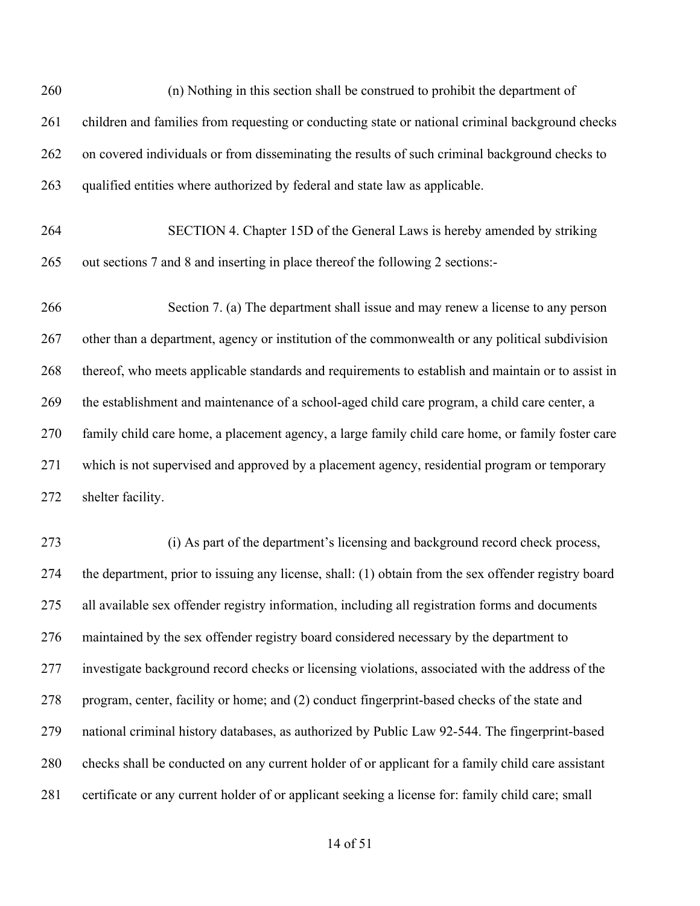(n) Nothing in this section shall be construed to prohibit the department of 261 children and families from requesting or conducting state or national criminal background checks on covered individuals or from disseminating the results of such criminal background checks to qualified entities where authorized by federal and state law as applicable.

 SECTION 4. Chapter 15D of the General Laws is hereby amended by striking out sections 7 and 8 and inserting in place thereof the following 2 sections:-

 Section 7. (a) The department shall issue and may renew a license to any person other than a department, agency or institution of the commonwealth or any political subdivision thereof, who meets applicable standards and requirements to establish and maintain or to assist in the establishment and maintenance of a school-aged child care program, a child care center, a family child care home, a placement agency, a large family child care home, or family foster care which is not supervised and approved by a placement agency, residential program or temporary shelter facility.

 (i) As part of the department's licensing and background record check process, the department, prior to issuing any license, shall: (1) obtain from the sex offender registry board all available sex offender registry information, including all registration forms and documents maintained by the sex offender registry board considered necessary by the department to investigate background record checks or licensing violations, associated with the address of the program, center, facility or home; and (2) conduct fingerprint-based checks of the state and national criminal history databases, as authorized by Public Law 92-544. The fingerprint-based checks shall be conducted on any current holder of or applicant for a family child care assistant certificate or any current holder of or applicant seeking a license for: family child care; small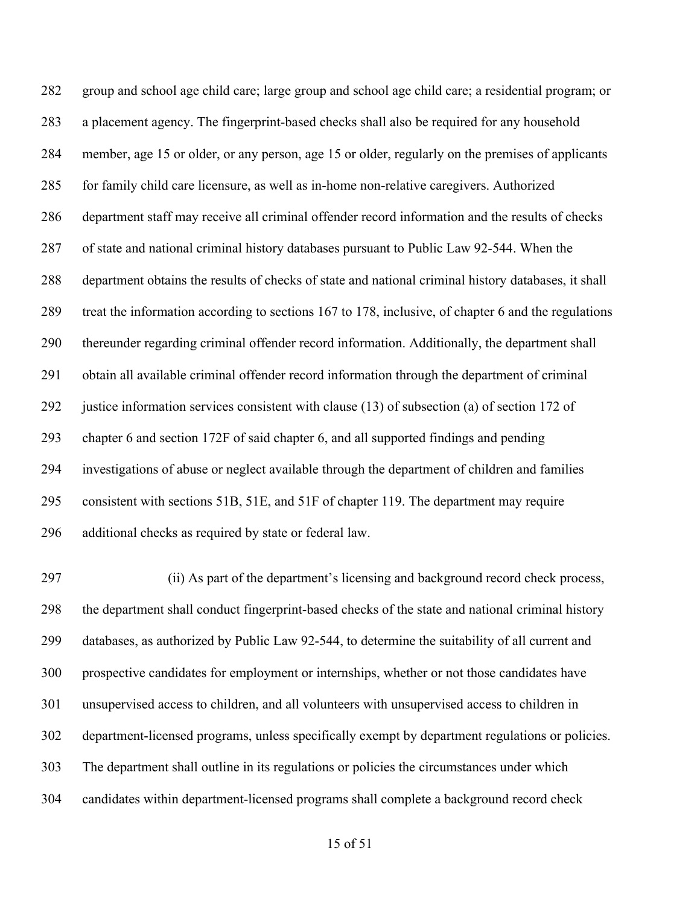group and school age child care; large group and school age child care; a residential program; or a placement agency. The fingerprint-based checks shall also be required for any household member, age 15 or older, or any person, age 15 or older, regularly on the premises of applicants for family child care licensure, as well as in-home non-relative caregivers. Authorized department staff may receive all criminal offender record information and the results of checks of state and national criminal history databases pursuant to Public Law 92-544. When the department obtains the results of checks of state and national criminal history databases, it shall treat the information according to sections 167 to 178, inclusive, of chapter 6 and the regulations thereunder regarding criminal offender record information. Additionally, the department shall obtain all available criminal offender record information through the department of criminal justice information services consistent with clause (13) of subsection (a) of section 172 of chapter 6 and section 172F of said chapter 6, and all supported findings and pending investigations of abuse or neglect available through the department of children and families consistent with sections 51B, 51E, and 51F of chapter 119. The department may require additional checks as required by state or federal law.

 (ii) As part of the department's licensing and background record check process, the department shall conduct fingerprint-based checks of the state and national criminal history databases, as authorized by Public Law 92-544, to determine the suitability of all current and prospective candidates for employment or internships, whether or not those candidates have unsupervised access to children, and all volunteers with unsupervised access to children in department-licensed programs, unless specifically exempt by department regulations or policies. The department shall outline in its regulations or policies the circumstances under which candidates within department-licensed programs shall complete a background record check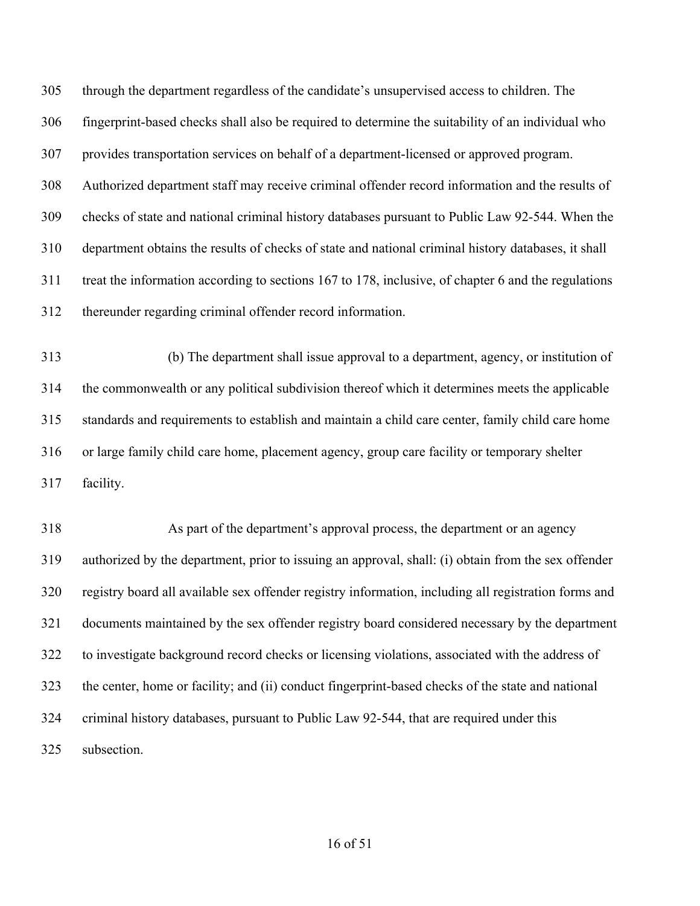through the department regardless of the candidate's unsupervised access to children. The fingerprint-based checks shall also be required to determine the suitability of an individual who provides transportation services on behalf of a department-licensed or approved program. Authorized department staff may receive criminal offender record information and the results of checks of state and national criminal history databases pursuant to Public Law 92-544. When the department obtains the results of checks of state and national criminal history databases, it shall treat the information according to sections 167 to 178, inclusive, of chapter 6 and the regulations thereunder regarding criminal offender record information.

 (b) The department shall issue approval to a department, agency, or institution of the commonwealth or any political subdivision thereof which it determines meets the applicable standards and requirements to establish and maintain a child care center, family child care home or large family child care home, placement agency, group care facility or temporary shelter facility.

 As part of the department's approval process, the department or an agency authorized by the department, prior to issuing an approval, shall: (i) obtain from the sex offender registry board all available sex offender registry information, including all registration forms and documents maintained by the sex offender registry board considered necessary by the department to investigate background record checks or licensing violations, associated with the address of the center, home or facility; and (ii) conduct fingerprint-based checks of the state and national criminal history databases, pursuant to Public Law 92-544, that are required under this subsection.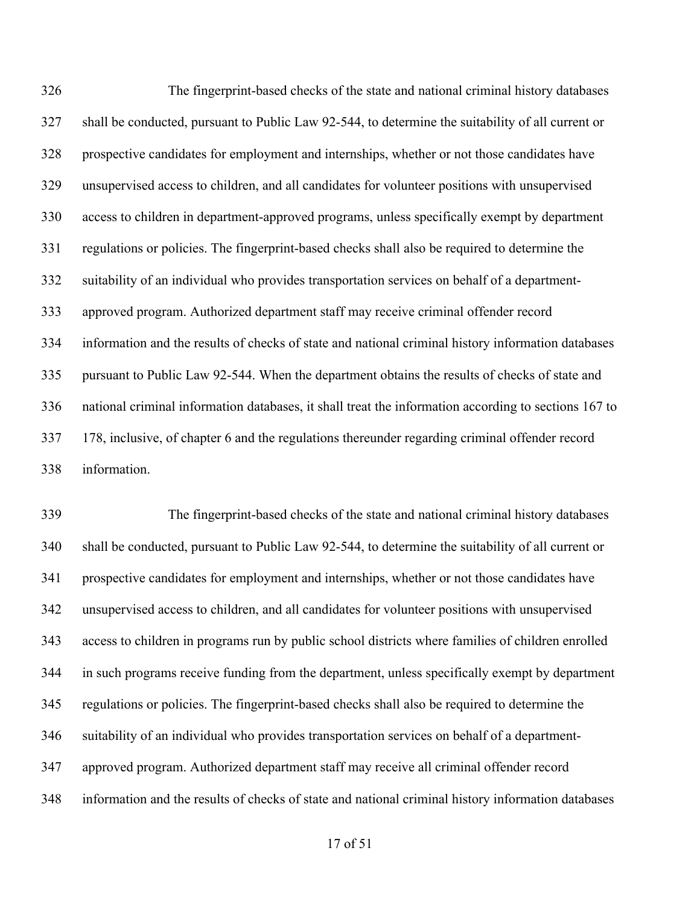The fingerprint-based checks of the state and national criminal history databases shall be conducted, pursuant to Public Law 92-544, to determine the suitability of all current or prospective candidates for employment and internships, whether or not those candidates have unsupervised access to children, and all candidates for volunteer positions with unsupervised access to children in department-approved programs, unless specifically exempt by department regulations or policies. The fingerprint-based checks shall also be required to determine the suitability of an individual who provides transportation services on behalf of a department- approved program. Authorized department staff may receive criminal offender record information and the results of checks of state and national criminal history information databases pursuant to Public Law 92-544. When the department obtains the results of checks of state and national criminal information databases, it shall treat the information according to sections 167 to 178, inclusive, of chapter 6 and the regulations thereunder regarding criminal offender record information.

 The fingerprint-based checks of the state and national criminal history databases shall be conducted, pursuant to Public Law 92-544, to determine the suitability of all current or prospective candidates for employment and internships, whether or not those candidates have unsupervised access to children, and all candidates for volunteer positions with unsupervised access to children in programs run by public school districts where families of children enrolled in such programs receive funding from the department, unless specifically exempt by department regulations or policies. The fingerprint-based checks shall also be required to determine the suitability of an individual who provides transportation services on behalf of a department- approved program. Authorized department staff may receive all criminal offender record information and the results of checks of state and national criminal history information databases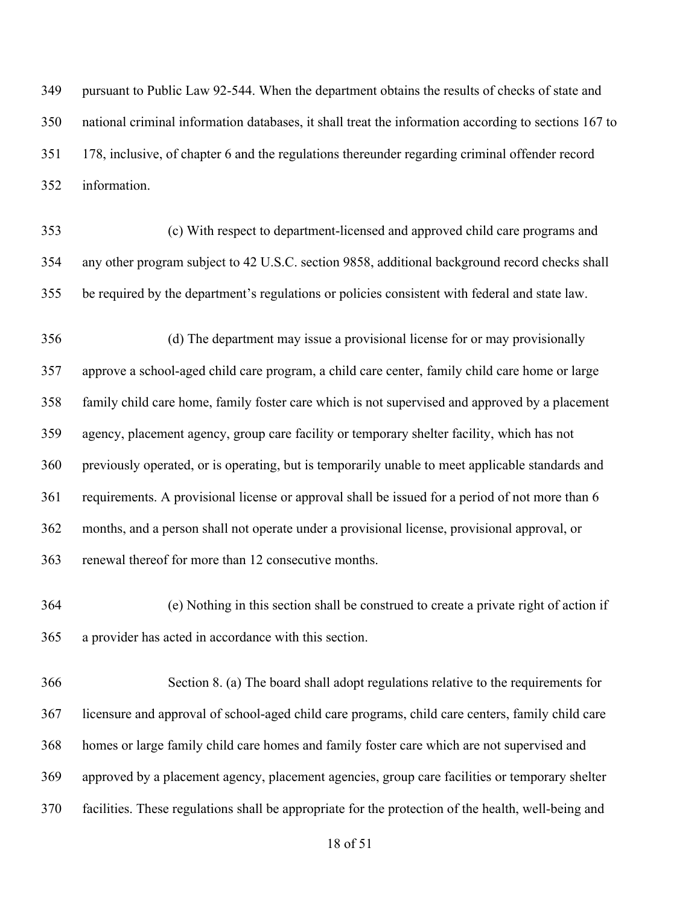pursuant to Public Law 92-544. When the department obtains the results of checks of state and national criminal information databases, it shall treat the information according to sections 167 to 178, inclusive, of chapter 6 and the regulations thereunder regarding criminal offender record information.

 (c) With respect to department-licensed and approved child care programs and any other program subject to 42 U.S.C. section 9858, additional background record checks shall be required by the department's regulations or policies consistent with federal and state law.

 (d) The department may issue a provisional license for or may provisionally approve a school-aged child care program, a child care center, family child care home or large family child care home, family foster care which is not supervised and approved by a placement agency, placement agency, group care facility or temporary shelter facility, which has not previously operated, or is operating, but is temporarily unable to meet applicable standards and requirements. A provisional license or approval shall be issued for a period of not more than 6 months, and a person shall not operate under a provisional license, provisional approval, or renewal thereof for more than 12 consecutive months.

 (e) Nothing in this section shall be construed to create a private right of action if a provider has acted in accordance with this section.

 Section 8. (a) The board shall adopt regulations relative to the requirements for licensure and approval of school-aged child care programs, child care centers, family child care homes or large family child care homes and family foster care which are not supervised and approved by a placement agency, placement agencies, group care facilities or temporary shelter facilities. These regulations shall be appropriate for the protection of the health, well-being and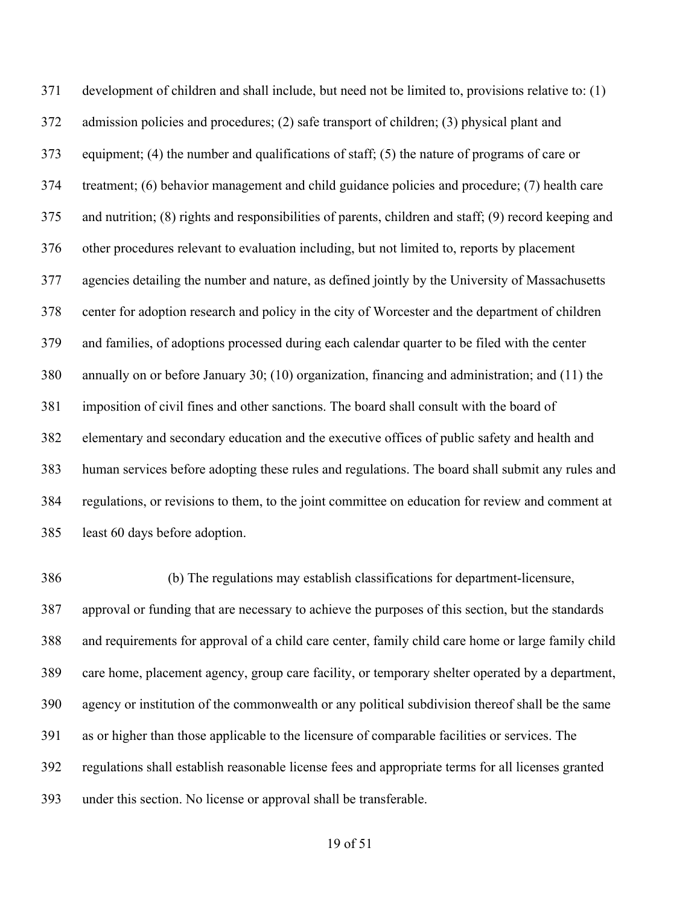development of children and shall include, but need not be limited to, provisions relative to: (1) admission policies and procedures; (2) safe transport of children; (3) physical plant and equipment; (4) the number and qualifications of staff; (5) the nature of programs of care or treatment; (6) behavior management and child guidance policies and procedure; (7) health care and nutrition; (8) rights and responsibilities of parents, children and staff; (9) record keeping and other procedures relevant to evaluation including, but not limited to, reports by placement agencies detailing the number and nature, as defined jointly by the University of Massachusetts center for adoption research and policy in the city of Worcester and the department of children and families, of adoptions processed during each calendar quarter to be filed with the center annually on or before January 30; (10) organization, financing and administration; and (11) the imposition of civil fines and other sanctions. The board shall consult with the board of elementary and secondary education and the executive offices of public safety and health and human services before adopting these rules and regulations. The board shall submit any rules and regulations, or revisions to them, to the joint committee on education for review and comment at least 60 days before adoption.

 (b) The regulations may establish classifications for department-licensure, approval or funding that are necessary to achieve the purposes of this section, but the standards and requirements for approval of a child care center, family child care home or large family child care home, placement agency, group care facility, or temporary shelter operated by a department, agency or institution of the commonwealth or any political subdivision thereof shall be the same as or higher than those applicable to the licensure of comparable facilities or services. The regulations shall establish reasonable license fees and appropriate terms for all licenses granted under this section. No license or approval shall be transferable.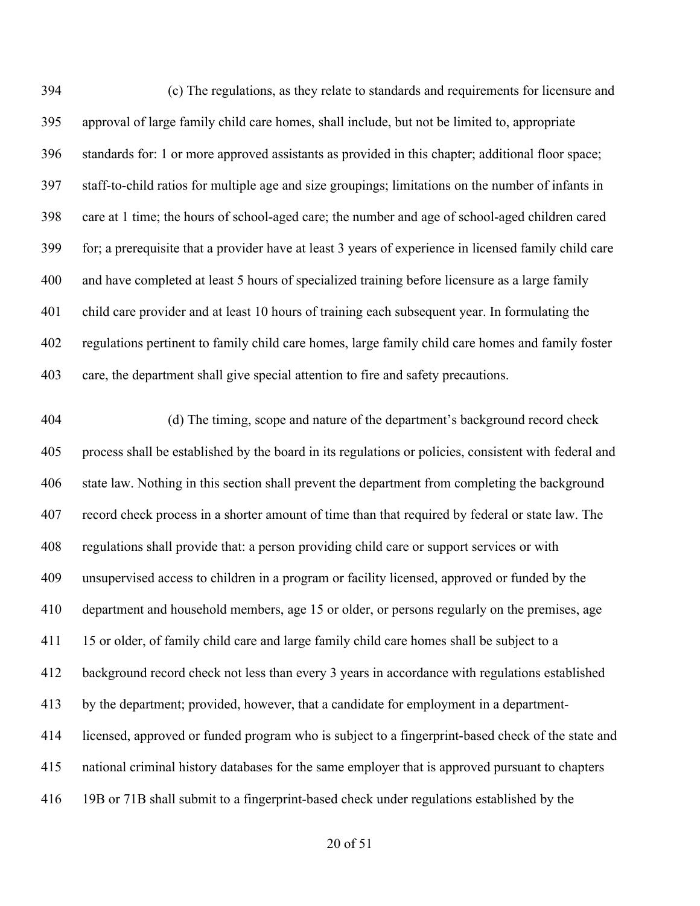(c) The regulations, as they relate to standards and requirements for licensure and approval of large family child care homes, shall include, but not be limited to, appropriate standards for: 1 or more approved assistants as provided in this chapter; additional floor space; staff-to-child ratios for multiple age and size groupings; limitations on the number of infants in care at 1 time; the hours of school-aged care; the number and age of school-aged children cared for; a prerequisite that a provider have at least 3 years of experience in licensed family child care and have completed at least 5 hours of specialized training before licensure as a large family child care provider and at least 10 hours of training each subsequent year. In formulating the regulations pertinent to family child care homes, large family child care homes and family foster care, the department shall give special attention to fire and safety precautions.

 (d) The timing, scope and nature of the department's background record check process shall be established by the board in its regulations or policies, consistent with federal and state law. Nothing in this section shall prevent the department from completing the background record check process in a shorter amount of time than that required by federal or state law. The regulations shall provide that: a person providing child care or support services or with unsupervised access to children in a program or facility licensed, approved or funded by the department and household members, age 15 or older, or persons regularly on the premises, age 411 15 or older, of family child care and large family child care homes shall be subject to a background record check not less than every 3 years in accordance with regulations established by the department; provided, however, that a candidate for employment in a department- licensed, approved or funded program who is subject to a fingerprint-based check of the state and national criminal history databases for the same employer that is approved pursuant to chapters 19B or 71B shall submit to a fingerprint-based check under regulations established by the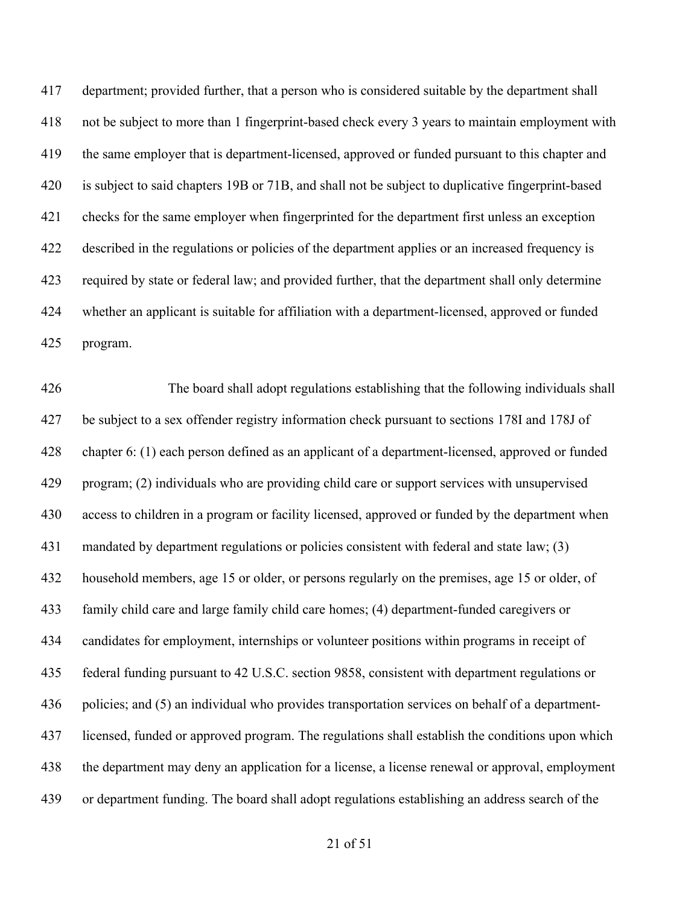department; provided further, that a person who is considered suitable by the department shall not be subject to more than 1 fingerprint-based check every 3 years to maintain employment with the same employer that is department-licensed, approved or funded pursuant to this chapter and is subject to said chapters 19B or 71B, and shall not be subject to duplicative fingerprint-based checks for the same employer when fingerprinted for the department first unless an exception described in the regulations or policies of the department applies or an increased frequency is required by state or federal law; and provided further, that the department shall only determine whether an applicant is suitable for affiliation with a department-licensed, approved or funded program.

 The board shall adopt regulations establishing that the following individuals shall be subject to a sex offender registry information check pursuant to sections 178I and 178J of chapter 6: (1) each person defined as an applicant of a department-licensed, approved or funded program; (2) individuals who are providing child care or support services with unsupervised access to children in a program or facility licensed, approved or funded by the department when mandated by department regulations or policies consistent with federal and state law; (3) household members, age 15 or older, or persons regularly on the premises, age 15 or older, of family child care and large family child care homes; (4) department-funded caregivers or candidates for employment, internships or volunteer positions within programs in receipt of federal funding pursuant to 42 U.S.C. section 9858, consistent with department regulations or policies; and (5) an individual who provides transportation services on behalf of a department- licensed, funded or approved program. The regulations shall establish the conditions upon which the department may deny an application for a license, a license renewal or approval, employment or department funding. The board shall adopt regulations establishing an address search of the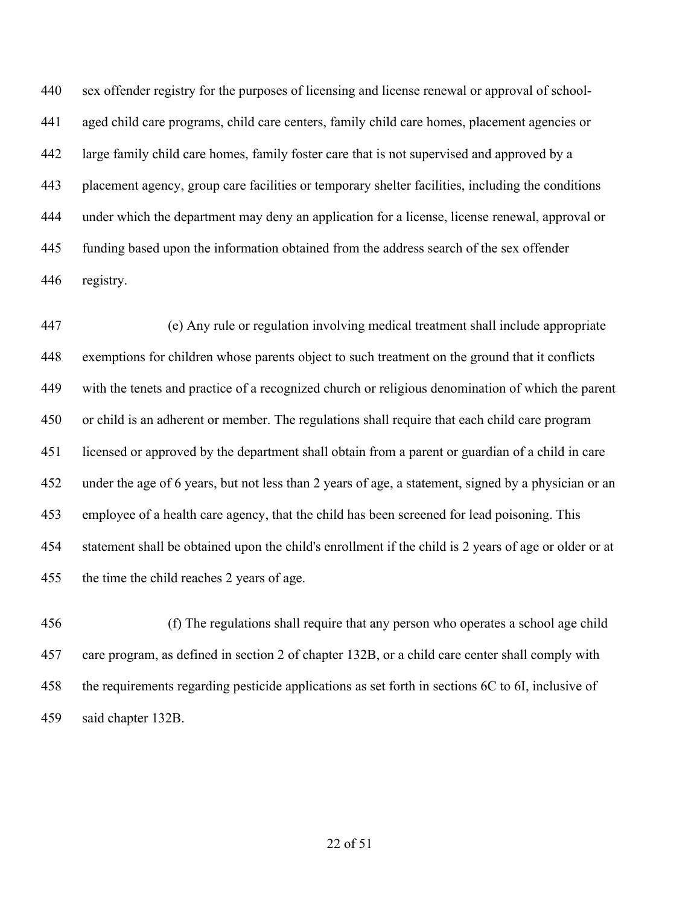sex offender registry for the purposes of licensing and license renewal or approval of school- aged child care programs, child care centers, family child care homes, placement agencies or large family child care homes, family foster care that is not supervised and approved by a placement agency, group care facilities or temporary shelter facilities, including the conditions under which the department may deny an application for a license, license renewal, approval or funding based upon the information obtained from the address search of the sex offender registry.

 (e) Any rule or regulation involving medical treatment shall include appropriate exemptions for children whose parents object to such treatment on the ground that it conflicts with the tenets and practice of a recognized church or religious denomination of which the parent or child is an adherent or member. The regulations shall require that each child care program licensed or approved by the department shall obtain from a parent or guardian of a child in care under the age of 6 years, but not less than 2 years of age, a statement, signed by a physician or an employee of a health care agency, that the child has been screened for lead poisoning. This statement shall be obtained upon the child's enrollment if the child is 2 years of age or older or at the time the child reaches 2 years of age.

 (f) The regulations shall require that any person who operates a school age child care program, as defined in section 2 of chapter 132B, or a child care center shall comply with the requirements regarding pesticide applications as set forth in sections 6C to 6I, inclusive of said chapter 132B.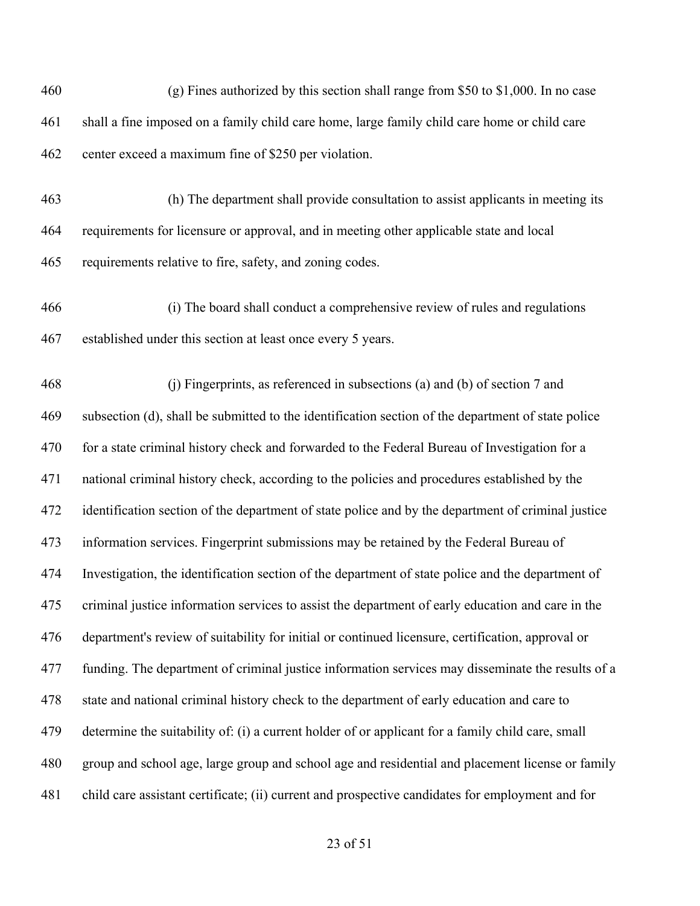| 460 | (g) Fines authorized by this section shall range from $$50$ to $$1,000$ . In no case               |
|-----|----------------------------------------------------------------------------------------------------|
| 461 | shall a fine imposed on a family child care home, large family child care home or child care       |
| 462 | center exceed a maximum fine of \$250 per violation.                                               |
| 463 | (h) The department shall provide consultation to assist applicants in meeting its                  |
| 464 | requirements for licensure or approval, and in meeting other applicable state and local            |
| 465 | requirements relative to fire, safety, and zoning codes.                                           |
| 466 | (i) The board shall conduct a comprehensive review of rules and regulations                        |
| 467 | established under this section at least once every 5 years.                                        |
| 468 | (j) Fingerprints, as referenced in subsections (a) and (b) of section 7 and                        |
| 469 | subsection (d), shall be submitted to the identification section of the department of state police |
| 470 | for a state criminal history check and forwarded to the Federal Bureau of Investigation for a      |
| 471 | national criminal history check, according to the policies and procedures established by the       |
| 472 | identification section of the department of state police and by the department of criminal justice |
| 473 | information services. Fingerprint submissions may be retained by the Federal Bureau of             |
| 474 | Investigation, the identification section of the department of state police and the department of  |
| 475 | criminal justice information services to assist the department of early education and care in the  |
| 476 | department's review of suitability for initial or continued licensure, certification, approval or  |
| 477 | funding. The department of criminal justice information services may disseminate the results of a  |
| 478 | state and national criminal history check to the department of early education and care to         |
| 479 | determine the suitability of: (i) a current holder of or applicant for a family child care, small  |
| 480 | group and school age, large group and school age and residential and placement license or family   |
| 481 | child care assistant certificate; (ii) current and prospective candidates for employment and for   |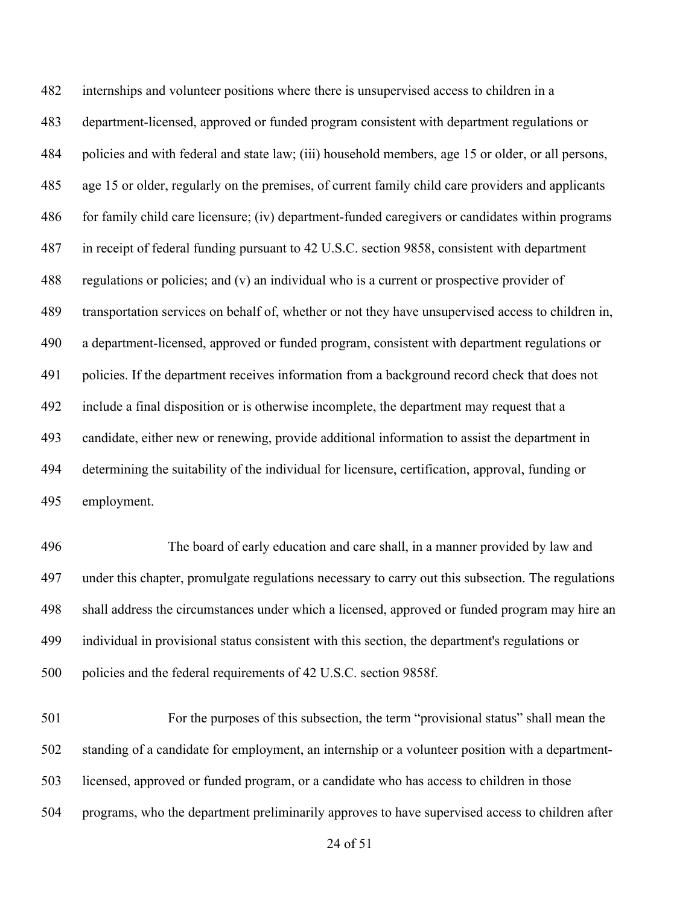internships and volunteer positions where there is unsupervised access to children in a department-licensed, approved or funded program consistent with department regulations or policies and with federal and state law; (iii) household members, age 15 or older, or all persons, age 15 or older, regularly on the premises, of current family child care providers and applicants for family child care licensure; (iv) department-funded caregivers or candidates within programs in receipt of federal funding pursuant to 42 U.S.C. section 9858, consistent with department regulations or policies; and (v) an individual who is a current or prospective provider of transportation services on behalf of, whether or not they have unsupervised access to children in, a department-licensed, approved or funded program, consistent with department regulations or policies. If the department receives information from a background record check that does not include a final disposition or is otherwise incomplete, the department may request that a candidate, either new or renewing, provide additional information to assist the department in determining the suitability of the individual for licensure, certification, approval, funding or employment.

 The board of early education and care shall, in a manner provided by law and under this chapter, promulgate regulations necessary to carry out this subsection. The regulations shall address the circumstances under which a licensed, approved or funded program may hire an individual in provisional status consistent with this section, the department's regulations or policies and the federal requirements of 42 U.S.C. section 9858f.

 For the purposes of this subsection, the term "provisional status" shall mean the standing of a candidate for employment, an internship or a volunteer position with a department- licensed, approved or funded program, or a candidate who has access to children in those programs, who the department preliminarily approves to have supervised access to children after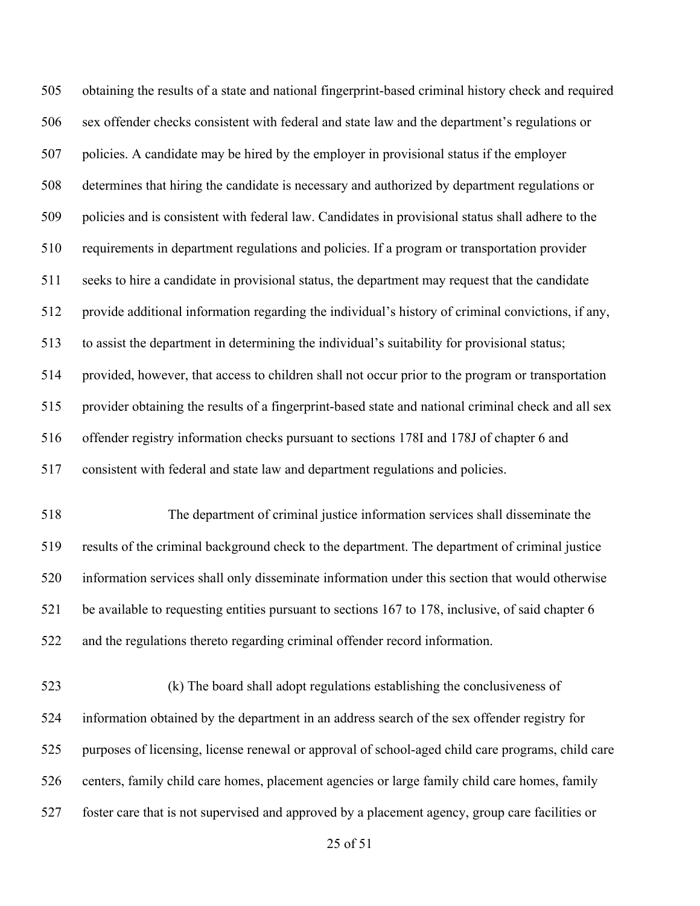obtaining the results of a state and national fingerprint-based criminal history check and required sex offender checks consistent with federal and state law and the department's regulations or policies. A candidate may be hired by the employer in provisional status if the employer determines that hiring the candidate is necessary and authorized by department regulations or policies and is consistent with federal law. Candidates in provisional status shall adhere to the requirements in department regulations and policies. If a program or transportation provider seeks to hire a candidate in provisional status, the department may request that the candidate provide additional information regarding the individual's history of criminal convictions, if any, to assist the department in determining the individual's suitability for provisional status; provided, however, that access to children shall not occur prior to the program or transportation provider obtaining the results of a fingerprint-based state and national criminal check and all sex offender registry information checks pursuant to sections 178I and 178J of chapter 6 and consistent with federal and state law and department regulations and policies. The department of criminal justice information services shall disseminate the results of the criminal background check to the department. The department of criminal justice information services shall only disseminate information under this section that would otherwise be available to requesting entities pursuant to sections 167 to 178, inclusive, of said chapter 6

and the regulations thereto regarding criminal offender record information.

 (k) The board shall adopt regulations establishing the conclusiveness of information obtained by the department in an address search of the sex offender registry for purposes of licensing, license renewal or approval of school-aged child care programs, child care centers, family child care homes, placement agencies or large family child care homes, family foster care that is not supervised and approved by a placement agency, group care facilities or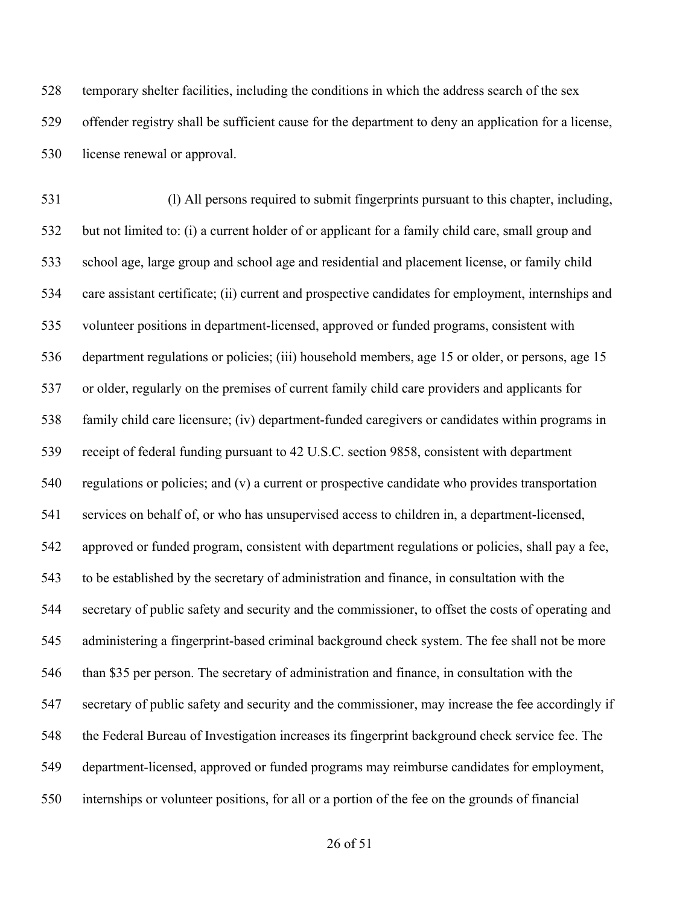temporary shelter facilities, including the conditions in which the address search of the sex offender registry shall be sufficient cause for the department to deny an application for a license, license renewal or approval.

 (l) All persons required to submit fingerprints pursuant to this chapter, including, but not limited to: (i) a current holder of or applicant for a family child care, small group and school age, large group and school age and residential and placement license, or family child care assistant certificate; (ii) current and prospective candidates for employment, internships and volunteer positions in department-licensed, approved or funded programs, consistent with department regulations or policies; (iii) household members, age 15 or older, or persons, age 15 or older, regularly on the premises of current family child care providers and applicants for family child care licensure; (iv) department-funded caregivers or candidates within programs in receipt of federal funding pursuant to 42 U.S.C. section 9858, consistent with department regulations or policies; and (v) a current or prospective candidate who provides transportation services on behalf of, or who has unsupervised access to children in, a department-licensed, approved or funded program, consistent with department regulations or policies, shall pay a fee, to be established by the secretary of administration and finance, in consultation with the secretary of public safety and security and the commissioner, to offset the costs of operating and administering a fingerprint-based criminal background check system. The fee shall not be more than \$35 per person. The secretary of administration and finance, in consultation with the secretary of public safety and security and the commissioner, may increase the fee accordingly if the Federal Bureau of Investigation increases its fingerprint background check service fee. The department-licensed, approved or funded programs may reimburse candidates for employment, internships or volunteer positions, for all or a portion of the fee on the grounds of financial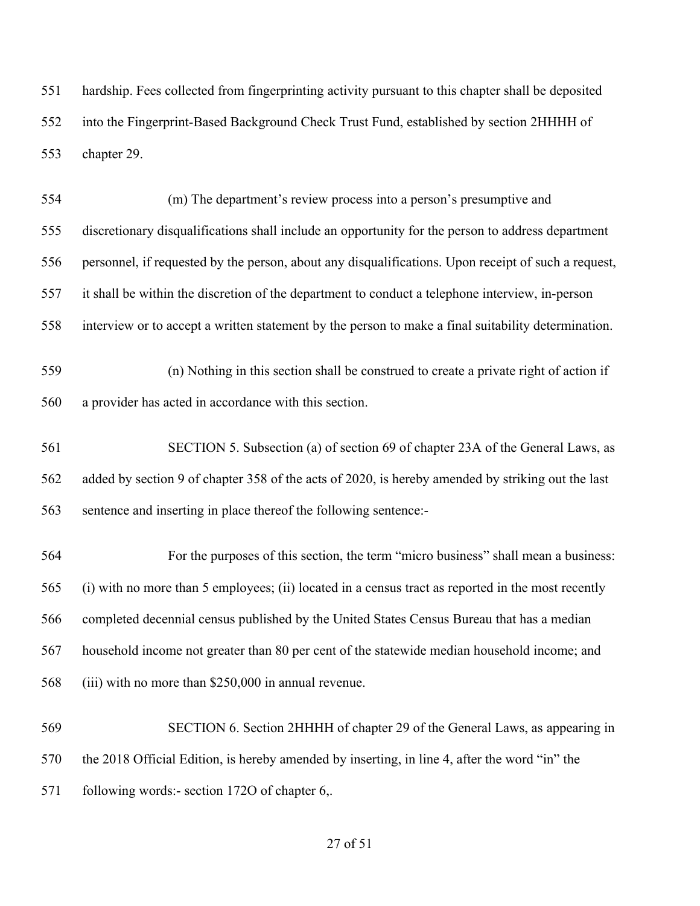hardship. Fees collected from fingerprinting activity pursuant to this chapter shall be deposited into the Fingerprint-Based Background Check Trust Fund, established by section 2HHHH of chapter 29.

 (m) The department's review process into a person's presumptive and discretionary disqualifications shall include an opportunity for the person to address department personnel, if requested by the person, about any disqualifications. Upon receipt of such a request, it shall be within the discretion of the department to conduct a telephone interview, in-person interview or to accept a written statement by the person to make a final suitability determination. (n) Nothing in this section shall be construed to create a private right of action if a provider has acted in accordance with this section. SECTION 5. Subsection (a) of section 69 of chapter 23A of the General Laws, as added by section 9 of chapter 358 of the acts of 2020, is hereby amended by striking out the last

sentence and inserting in place thereof the following sentence:-

 For the purposes of this section, the term "micro business" shall mean a business: (i) with no more than 5 employees; (ii) located in a census tract as reported in the most recently completed decennial census published by the United States Census Bureau that has a median household income not greater than 80 per cent of the statewide median household income; and (iii) with no more than \$250,000 in annual revenue.

 SECTION 6. Section 2HHHH of chapter 29 of the General Laws, as appearing in the 2018 Official Edition, is hereby amended by inserting, in line 4, after the word "in" the 571 following words:- section 1720 of chapter 6,.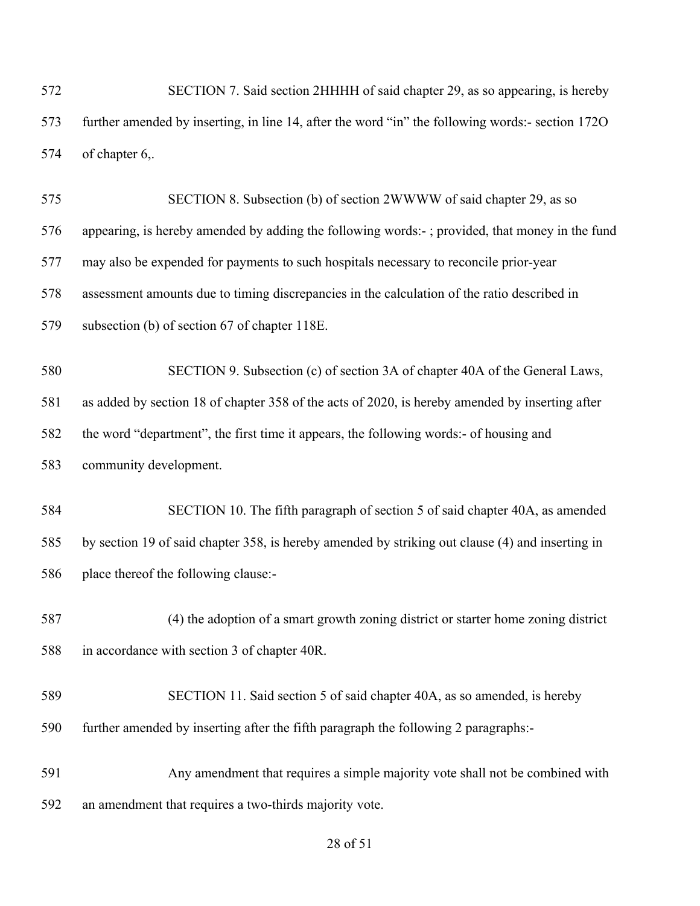SECTION 7. Said section 2HHHH of said chapter 29, as so appearing, is hereby further amended by inserting, in line 14, after the word "in" the following words:- section 172O of chapter 6,.

 SECTION 8. Subsection (b) of section 2WWWW of said chapter 29, as so appearing, is hereby amended by adding the following words:- ; provided, that money in the fund may also be expended for payments to such hospitals necessary to reconcile prior-year assessment amounts due to timing discrepancies in the calculation of the ratio described in subsection (b) of section 67 of chapter 118E.

 SECTION 9. Subsection (c) of section 3A of chapter 40A of the General Laws, as added by section 18 of chapter 358 of the acts of 2020, is hereby amended by inserting after the word "department", the first time it appears, the following words:- of housing and community development.

 SECTION 10. The fifth paragraph of section 5 of said chapter 40A, as amended by section 19 of said chapter 358, is hereby amended by striking out clause (4) and inserting in place thereof the following clause:-

 (4) the adoption of a smart growth zoning district or starter home zoning district in accordance with section 3 of chapter 40R.

- SECTION 11. Said section 5 of said chapter 40A, as so amended, is hereby further amended by inserting after the fifth paragraph the following 2 paragraphs:-
- Any amendment that requires a simple majority vote shall not be combined with an amendment that requires a two-thirds majority vote.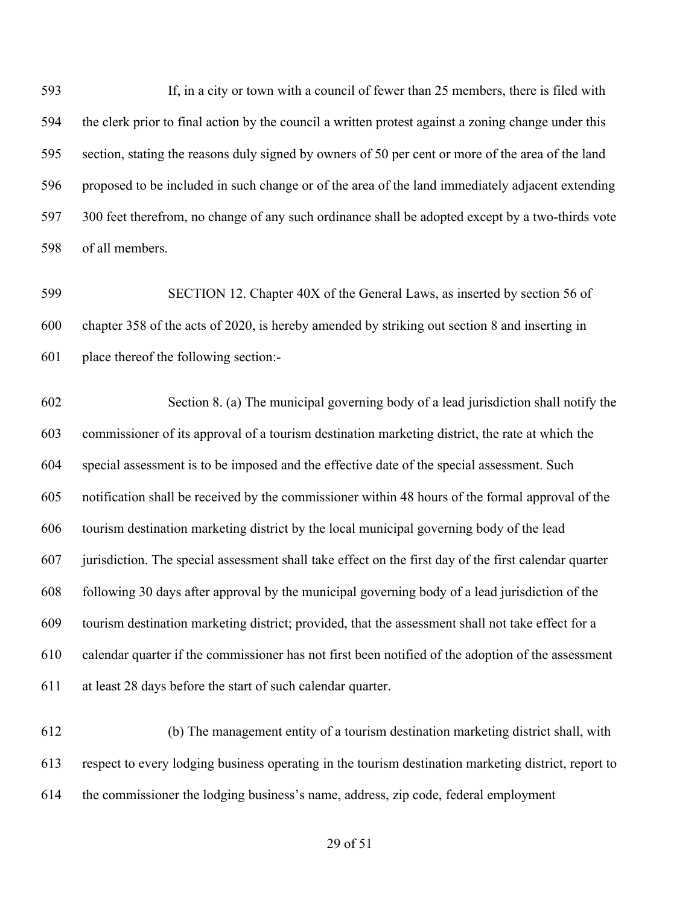If, in a city or town with a council of fewer than 25 members, there is filed with the clerk prior to final action by the council a written protest against a zoning change under this section, stating the reasons duly signed by owners of 50 per cent or more of the area of the land proposed to be included in such change or of the area of the land immediately adjacent extending 300 feet therefrom, no change of any such ordinance shall be adopted except by a two-thirds vote of all members.

 SECTION 12. Chapter 40X of the General Laws, as inserted by section 56 of chapter 358 of the acts of 2020, is hereby amended by striking out section 8 and inserting in place thereof the following section:-

 Section 8. (a) The municipal governing body of a lead jurisdiction shall notify the commissioner of its approval of a tourism destination marketing district, the rate at which the special assessment is to be imposed and the effective date of the special assessment. Such notification shall be received by the commissioner within 48 hours of the formal approval of the tourism destination marketing district by the local municipal governing body of the lead jurisdiction. The special assessment shall take effect on the first day of the first calendar quarter following 30 days after approval by the municipal governing body of a lead jurisdiction of the tourism destination marketing district; provided, that the assessment shall not take effect for a calendar quarter if the commissioner has not first been notified of the adoption of the assessment at least 28 days before the start of such calendar quarter.

 (b) The management entity of a tourism destination marketing district shall, with respect to every lodging business operating in the tourism destination marketing district, report to the commissioner the lodging business's name, address, zip code, federal employment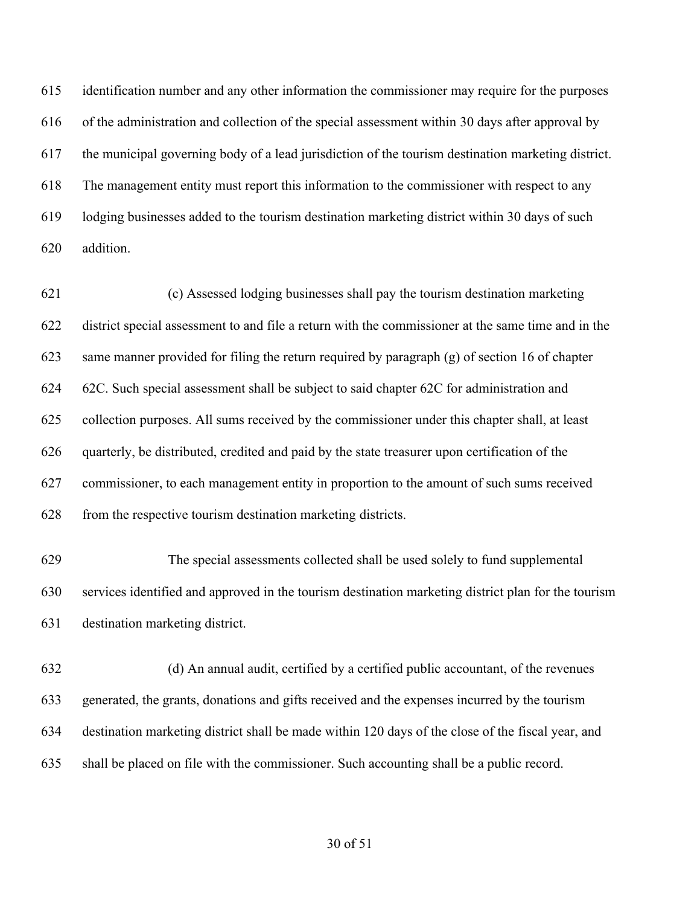identification number and any other information the commissioner may require for the purposes of the administration and collection of the special assessment within 30 days after approval by the municipal governing body of a lead jurisdiction of the tourism destination marketing district. The management entity must report this information to the commissioner with respect to any lodging businesses added to the tourism destination marketing district within 30 days of such addition.

 (c) Assessed lodging businesses shall pay the tourism destination marketing district special assessment to and file a return with the commissioner at the same time and in the same manner provided for filing the return required by paragraph (g) of section 16 of chapter 62C. Such special assessment shall be subject to said chapter 62C for administration and collection purposes. All sums received by the commissioner under this chapter shall, at least quarterly, be distributed, credited and paid by the state treasurer upon certification of the commissioner, to each management entity in proportion to the amount of such sums received from the respective tourism destination marketing districts.

 The special assessments collected shall be used solely to fund supplemental services identified and approved in the tourism destination marketing district plan for the tourism destination marketing district.

 (d) An annual audit, certified by a certified public accountant, of the revenues generated, the grants, donations and gifts received and the expenses incurred by the tourism destination marketing district shall be made within 120 days of the close of the fiscal year, and shall be placed on file with the commissioner. Such accounting shall be a public record.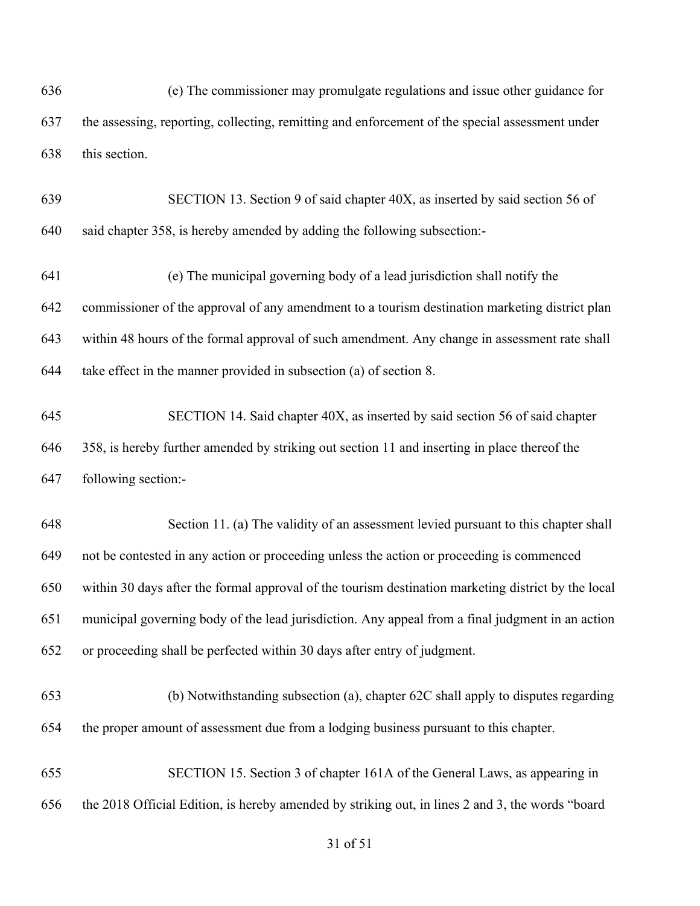(e) The commissioner may promulgate regulations and issue other guidance for the assessing, reporting, collecting, remitting and enforcement of the special assessment under this section.

 SECTION 13. Section 9 of said chapter 40X, as inserted by said section 56 of said chapter 358, is hereby amended by adding the following subsection:-

 (e) The municipal governing body of a lead jurisdiction shall notify the commissioner of the approval of any amendment to a tourism destination marketing district plan within 48 hours of the formal approval of such amendment. Any change in assessment rate shall take effect in the manner provided in subsection (a) of section 8.

 SECTION 14. Said chapter 40X, as inserted by said section 56 of said chapter 358, is hereby further amended by striking out section 11 and inserting in place thereof the following section:-

 Section 11. (a) The validity of an assessment levied pursuant to this chapter shall not be contested in any action or proceeding unless the action or proceeding is commenced within 30 days after the formal approval of the tourism destination marketing district by the local municipal governing body of the lead jurisdiction. Any appeal from a final judgment in an action or proceeding shall be perfected within 30 days after entry of judgment.

 (b) Notwithstanding subsection (a), chapter 62C shall apply to disputes regarding the proper amount of assessment due from a lodging business pursuant to this chapter.

 SECTION 15. Section 3 of chapter 161A of the General Laws, as appearing in the 2018 Official Edition, is hereby amended by striking out, in lines 2 and 3, the words "board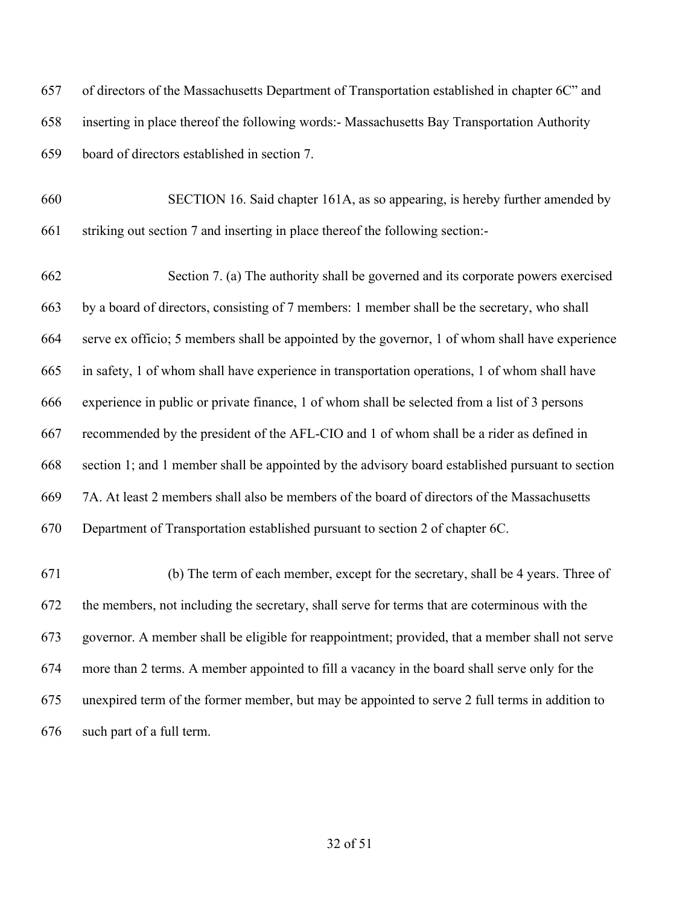of directors of the Massachusetts Department of Transportation established in chapter 6C" and inserting in place thereof the following words:- Massachusetts Bay Transportation Authority board of directors established in section 7.

 SECTION 16. Said chapter 161A, as so appearing, is hereby further amended by striking out section 7 and inserting in place thereof the following section:-

 Section 7. (a) The authority shall be governed and its corporate powers exercised by a board of directors, consisting of 7 members: 1 member shall be the secretary, who shall serve ex officio; 5 members shall be appointed by the governor, 1 of whom shall have experience in safety, 1 of whom shall have experience in transportation operations, 1 of whom shall have experience in public or private finance, 1 of whom shall be selected from a list of 3 persons recommended by the president of the AFL-CIO and 1 of whom shall be a rider as defined in section 1; and 1 member shall be appointed by the advisory board established pursuant to section 7A. At least 2 members shall also be members of the board of directors of the Massachusetts Department of Transportation established pursuant to section 2 of chapter 6C.

 (b) The term of each member, except for the secretary, shall be 4 years. Three of the members, not including the secretary, shall serve for terms that are coterminous with the governor. A member shall be eligible for reappointment; provided, that a member shall not serve more than 2 terms. A member appointed to fill a vacancy in the board shall serve only for the unexpired term of the former member, but may be appointed to serve 2 full terms in addition to such part of a full term.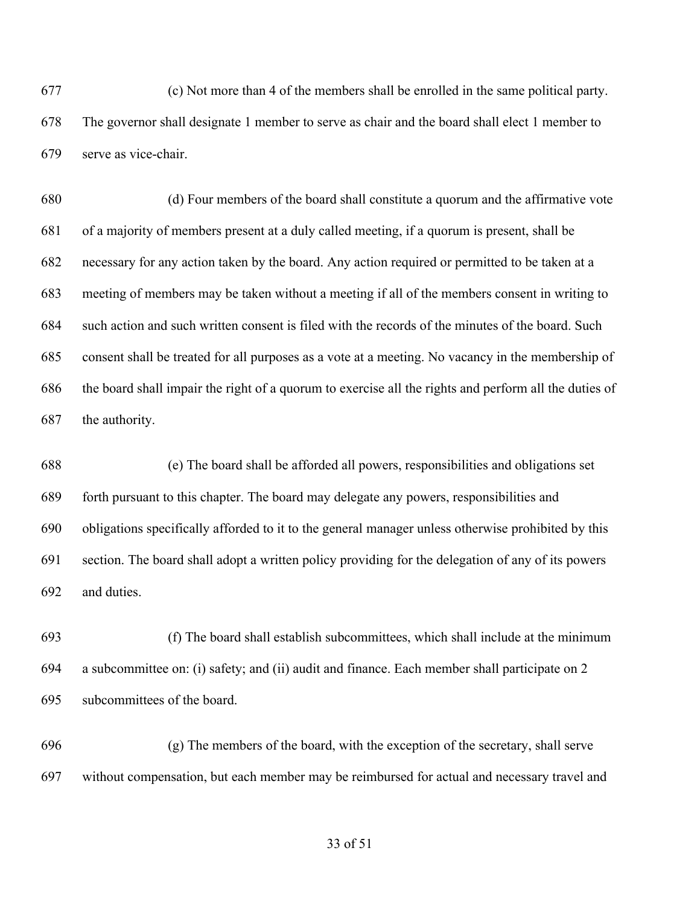(c) Not more than 4 of the members shall be enrolled in the same political party. The governor shall designate 1 member to serve as chair and the board shall elect 1 member to serve as vice-chair.

 (d) Four members of the board shall constitute a quorum and the affirmative vote of a majority of members present at a duly called meeting, if a quorum is present, shall be necessary for any action taken by the board. Any action required or permitted to be taken at a meeting of members may be taken without a meeting if all of the members consent in writing to such action and such written consent is filed with the records of the minutes of the board. Such consent shall be treated for all purposes as a vote at a meeting. No vacancy in the membership of the board shall impair the right of a quorum to exercise all the rights and perform all the duties of the authority.

 (e) The board shall be afforded all powers, responsibilities and obligations set forth pursuant to this chapter. The board may delegate any powers, responsibilities and obligations specifically afforded to it to the general manager unless otherwise prohibited by this section. The board shall adopt a written policy providing for the delegation of any of its powers and duties.

 (f) The board shall establish subcommittees, which shall include at the minimum a subcommittee on: (i) safety; and (ii) audit and finance. Each member shall participate on 2 subcommittees of the board.

 (g) The members of the board, with the exception of the secretary, shall serve without compensation, but each member may be reimbursed for actual and necessary travel and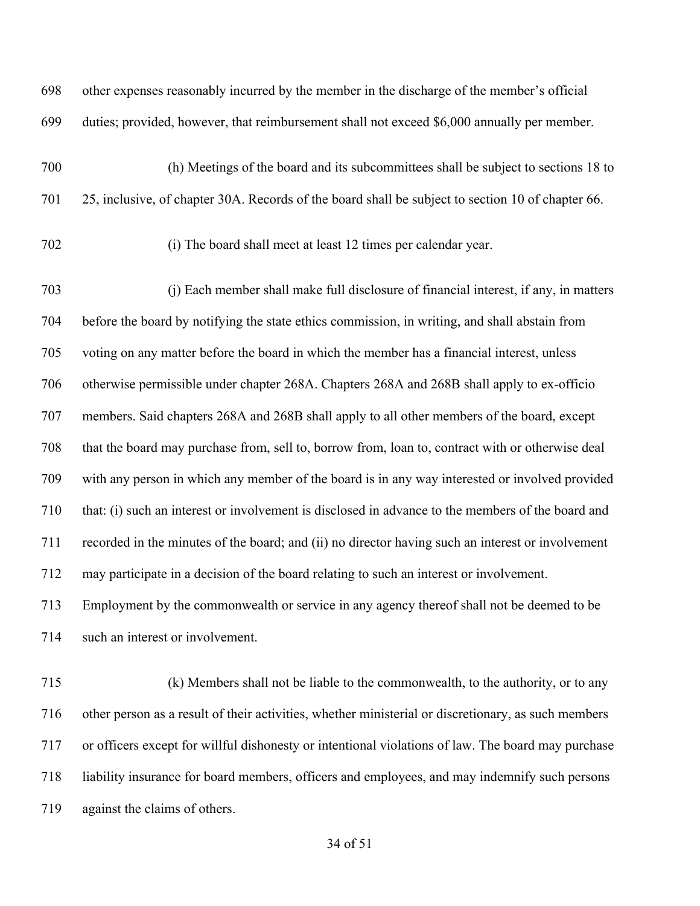other expenses reasonably incurred by the member in the discharge of the member's official duties; provided, however, that reimbursement shall not exceed \$6,000 annually per member.

 (h) Meetings of the board and its subcommittees shall be subject to sections 18 to 25, inclusive, of chapter 30A. Records of the board shall be subject to section 10 of chapter 66.

(i) The board shall meet at least 12 times per calendar year.

 (j) Each member shall make full disclosure of financial interest, if any, in matters before the board by notifying the state ethics commission, in writing, and shall abstain from voting on any matter before the board in which the member has a financial interest, unless otherwise permissible under chapter 268A. Chapters 268A and 268B shall apply to ex-officio members. Said chapters 268A and 268B shall apply to all other members of the board, except that the board may purchase from, sell to, borrow from, loan to, contract with or otherwise deal with any person in which any member of the board is in any way interested or involved provided that: (i) such an interest or involvement is disclosed in advance to the members of the board and recorded in the minutes of the board; and (ii) no director having such an interest or involvement may participate in a decision of the board relating to such an interest or involvement.

 Employment by the commonwealth or service in any agency thereof shall not be deemed to be such an interest or involvement.

 (k) Members shall not be liable to the commonwealth, to the authority, or to any other person as a result of their activities, whether ministerial or discretionary, as such members or officers except for willful dishonesty or intentional violations of law. The board may purchase liability insurance for board members, officers and employees, and may indemnify such persons against the claims of others.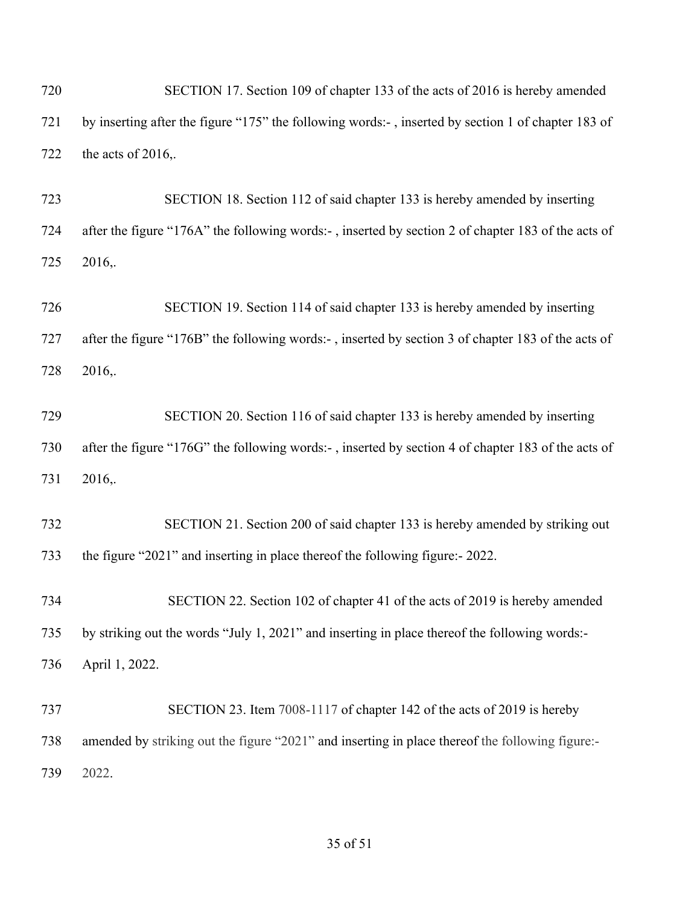| 720 | SECTION 17. Section 109 of chapter 133 of the acts of 2016 is hereby amended                       |
|-----|----------------------------------------------------------------------------------------------------|
| 721 | by inserting after the figure "175" the following words:-, inserted by section 1 of chapter 183 of |
| 722 | the acts of 2016,.                                                                                 |
| 723 | SECTION 18. Section 112 of said chapter 133 is hereby amended by inserting                         |
| 724 | after the figure "176A" the following words:-, inserted by section 2 of chapter 183 of the acts of |
| 725 | 2016,.                                                                                             |
| 726 | SECTION 19. Section 114 of said chapter 133 is hereby amended by inserting                         |
| 727 | after the figure "176B" the following words:-, inserted by section 3 of chapter 183 of the acts of |
| 728 | 2016,.                                                                                             |
| 729 | SECTION 20. Section 116 of said chapter 133 is hereby amended by inserting                         |
| 730 | after the figure "176G" the following words:-, inserted by section 4 of chapter 183 of the acts of |
| 731 | 2016,.                                                                                             |
| 732 | SECTION 21. Section 200 of said chapter 133 is hereby amended by striking out                      |
| 733 | the figure "2021" and inserting in place thereof the following figure: - 2022.                     |
| 734 | SECTION 22. Section 102 of chapter 41 of the acts of 2019 is hereby amended                        |
| 735 | by striking out the words "July 1, 2021" and inserting in place thereof the following words:-      |
| 736 | April 1, 2022.                                                                                     |
| 737 | SECTION 23. Item 7008-1117 of chapter 142 of the acts of 2019 is hereby                            |
| 738 | amended by striking out the figure "2021" and inserting in place thereof the following figure:-    |
| 739 | 2022.                                                                                              |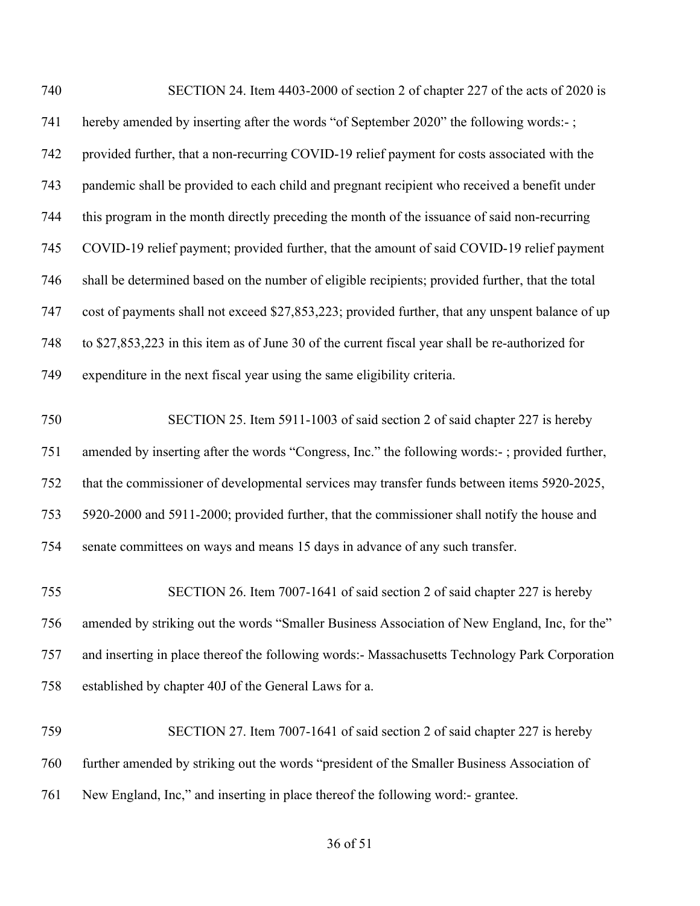| 740 | SECTION 24. Item 4403-2000 of section 2 of chapter 227 of the acts of 2020 is                    |
|-----|--------------------------------------------------------------------------------------------------|
| 741 | hereby amended by inserting after the words "of September 2020" the following words:-;           |
| 742 | provided further, that a non-recurring COVID-19 relief payment for costs associated with the     |
| 743 | pandemic shall be provided to each child and pregnant recipient who received a benefit under     |
| 744 | this program in the month directly preceding the month of the issuance of said non-recurring     |
| 745 | COVID-19 relief payment; provided further, that the amount of said COVID-19 relief payment       |
| 746 | shall be determined based on the number of eligible recipients; provided further, that the total |
| 747 | cost of payments shall not exceed \$27,853,223; provided further, that any unspent balance of up |
| 748 | to \$27,853,223 in this item as of June 30 of the current fiscal year shall be re-authorized for |
| 749 | expenditure in the next fiscal year using the same eligibility criteria.                         |
| 750 | SECTION 25. Item 5911-1003 of said section 2 of said chapter 227 is hereby                       |
| 751 | amended by inserting after the words "Congress, Inc." the following words:-; provided further,   |
| 752 | that the commissioner of developmental services may transfer funds between items 5920-2025,      |
| 753 | 5920-2000 and 5911-2000; provided further, that the commissioner shall notify the house and      |
| 754 | senate committees on ways and means 15 days in advance of any such transfer.                     |
| 755 | SECTION 26. Item 7007-1641 of said section 2 of said chapter 227 is hereby                       |
| 756 | amended by striking out the words "Smaller Business Association of New England, Inc, for the"    |
| 757 | and inserting in place thereof the following words:- Massachusetts Technology Park Corporation   |
| 758 | established by chapter 40J of the General Laws for a.                                            |
| 759 | SECTION 27. Item 7007-1641 of said section 2 of said chapter 227 is hereby                       |
| 760 | further amended by striking out the words "president of the Smaller Business Association of      |
| 761 | New England, Inc," and inserting in place thereof the following word:- grantee.                  |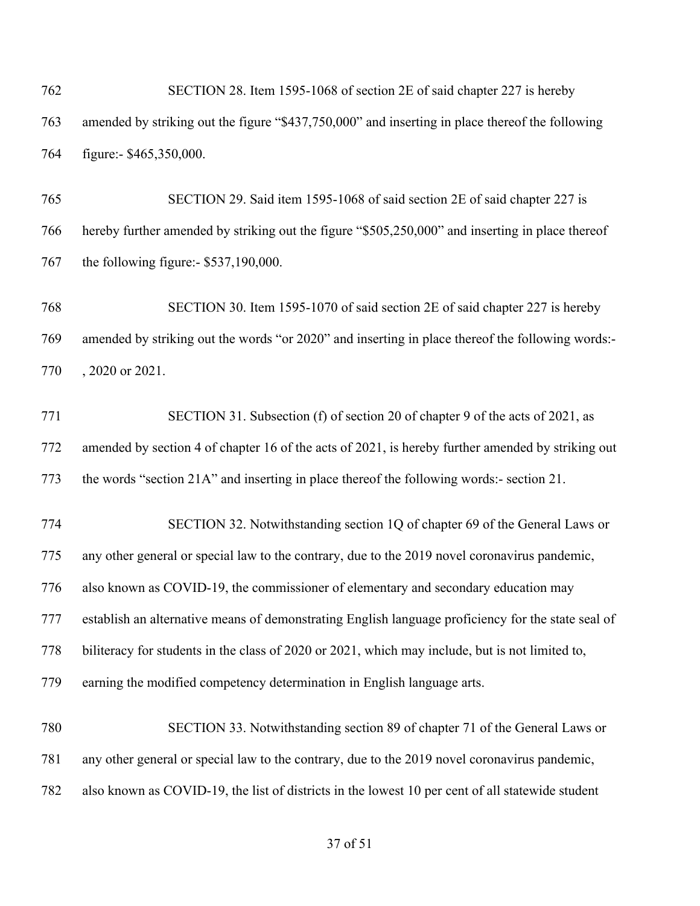SECTION 28. Item 1595-1068 of section 2E of said chapter 227 is hereby amended by striking out the figure "\$437,750,000" and inserting in place thereof the following figure:- \$465,350,000.

 SECTION 29. Said item 1595-1068 of said section 2E of said chapter 227 is hereby further amended by striking out the figure "\$505,250,000" and inserting in place thereof the following figure:- \$537,190,000.

 SECTION 30. Item 1595-1070 of said section 2E of said chapter 227 is hereby amended by striking out the words "or 2020" and inserting in place thereof the following words:- , 2020 or 2021.

 SECTION 31. Subsection (f) of section 20 of chapter 9 of the acts of 2021, as amended by section 4 of chapter 16 of the acts of 2021, is hereby further amended by striking out the words "section 21A" and inserting in place thereof the following words:- section 21.

 SECTION 32. Notwithstanding section 1Q of chapter 69 of the General Laws or any other general or special law to the contrary, due to the 2019 novel coronavirus pandemic, also known as COVID-19, the commissioner of elementary and secondary education may establish an alternative means of demonstrating English language proficiency for the state seal of biliteracy for students in the class of 2020 or 2021, which may include, but is not limited to, earning the modified competency determination in English language arts.

 SECTION 33. Notwithstanding section 89 of chapter 71 of the General Laws or any other general or special law to the contrary, due to the 2019 novel coronavirus pandemic, also known as COVID-19, the list of districts in the lowest 10 per cent of all statewide student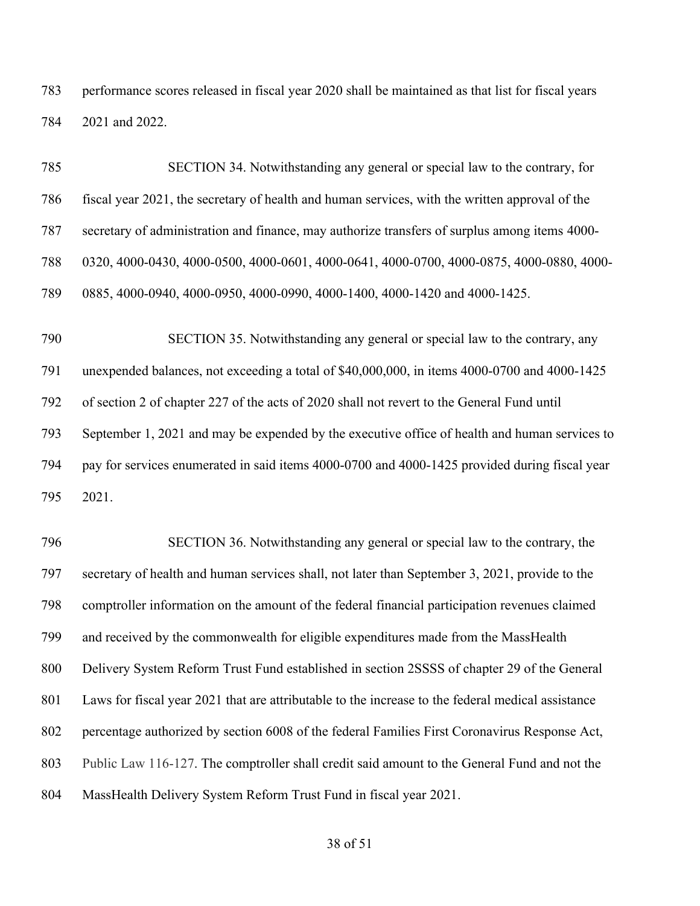performance scores released in fiscal year 2020 shall be maintained as that list for fiscal years 2021 and 2022.

 SECTION 34. Notwithstanding any general or special law to the contrary, for fiscal year 2021, the secretary of health and human services, with the written approval of the secretary of administration and finance, may authorize transfers of surplus among items 4000- 0320, 4000-0430, 4000-0500, 4000-0601, 4000-0641, 4000-0700, 4000-0875, 4000-0880, 4000- 0885, 4000-0940, 4000-0950, 4000-0990, 4000-1400, 4000-1420 and 4000-1425.

 SECTION 35. Notwithstanding any general or special law to the contrary, any unexpended balances, not exceeding a total of \$40,000,000, in items 4000-0700 and 4000-1425 of section 2 of chapter 227 of the acts of 2020 shall not revert to the General Fund until September 1, 2021 and may be expended by the executive office of health and human services to pay for services enumerated in said items 4000-0700 and 4000-1425 provided during fiscal year 2021.

 SECTION 36. Notwithstanding any general or special law to the contrary, the secretary of health and human services shall, not later than September 3, 2021, provide to the comptroller information on the amount of the federal financial participation revenues claimed and received by the commonwealth for eligible expenditures made from the MassHealth Delivery System Reform Trust Fund established in section 2SSSS of chapter 29 of the General Laws for fiscal year 2021 that are attributable to the increase to the federal medical assistance percentage authorized by section 6008 of the federal Families First Coronavirus Response Act, Public Law 116-127. The comptroller shall credit said amount to the General Fund and not the MassHealth Delivery System Reform Trust Fund in fiscal year 2021.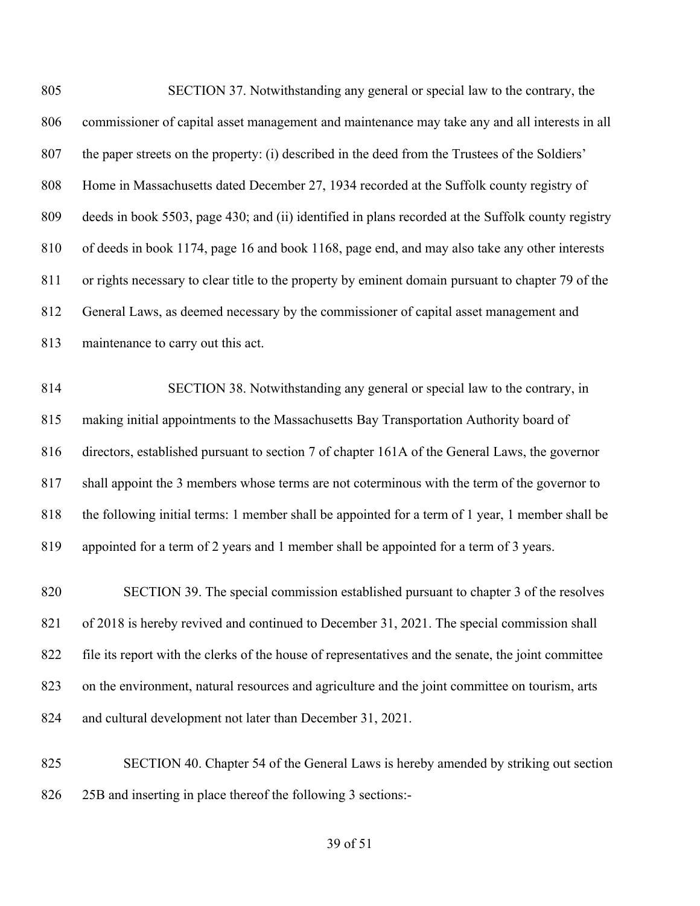| 805 | SECTION 37. Notwithstanding any general or special law to the contrary, the                         |
|-----|-----------------------------------------------------------------------------------------------------|
| 806 | commissioner of capital asset management and maintenance may take any and all interests in all      |
| 807 | the paper streets on the property: (i) described in the deed from the Trustees of the Soldiers'     |
| 808 | Home in Massachusetts dated December 27, 1934 recorded at the Suffolk county registry of            |
| 809 | deeds in book 5503, page 430; and (ii) identified in plans recorded at the Suffolk county registry  |
| 810 | of deeds in book 1174, page 16 and book 1168, page end, and may also take any other interests       |
| 811 | or rights necessary to clear title to the property by eminent domain pursuant to chapter 79 of the  |
| 812 | General Laws, as deemed necessary by the commissioner of capital asset management and               |
| 813 | maintenance to carry out this act.                                                                  |
| 814 | SECTION 38. Notwithstanding any general or special law to the contrary, in                          |
| 815 | making initial appointments to the Massachusetts Bay Transportation Authority board of              |
| 816 | directors, established pursuant to section 7 of chapter 161A of the General Laws, the governor      |
| 817 | shall appoint the 3 members whose terms are not coterminous with the term of the governor to        |
| 818 | the following initial terms: 1 member shall be appointed for a term of 1 year, 1 member shall be    |
| 819 | appointed for a term of 2 years and 1 member shall be appointed for a term of 3 years.              |
| 820 | SECTION 39. The special commission established pursuant to chapter 3 of the resolves                |
| 821 | of 2018 is hereby revived and continued to December 31, 2021. The special commission shall          |
| 822 | file its report with the clerks of the house of representatives and the senate, the joint committee |
| 823 | on the environment, natural resources and agriculture and the joint committee on tourism, arts      |
| 824 | and cultural development not later than December 31, 2021.                                          |
| 025 | SECTION 40 Chapter 54 of the General Laws is bereby emended by striking out section                 |

 SECTION 40. Chapter 54 of the General Laws is hereby amended by striking out section 25B and inserting in place thereof the following 3 sections:-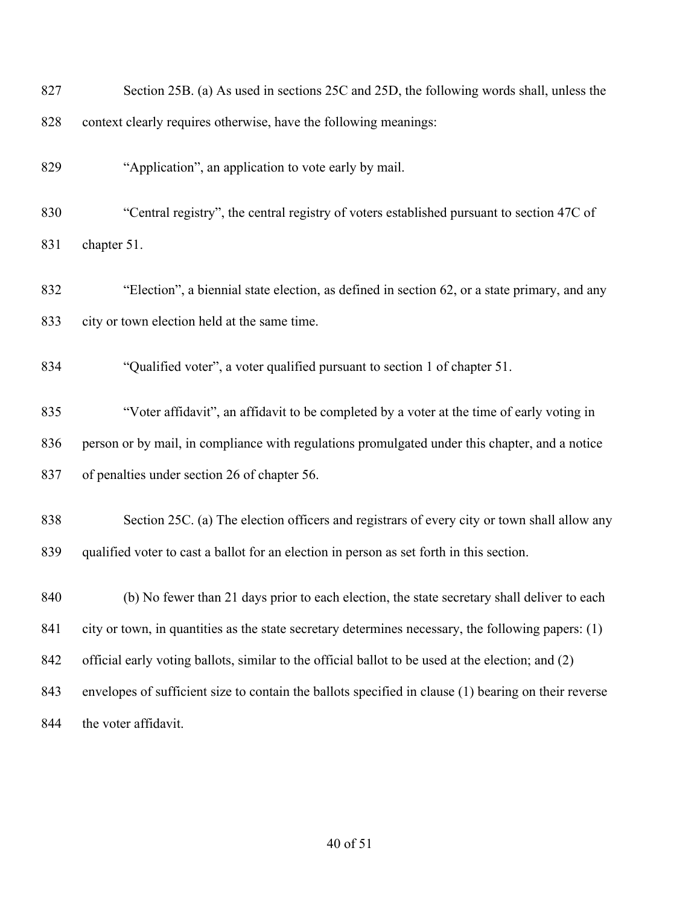| 827 | Section 25B. (a) As used in sections 25C and 25D, the following words shall, unless the              |
|-----|------------------------------------------------------------------------------------------------------|
| 828 | context clearly requires otherwise, have the following meanings:                                     |
| 829 | "Application", an application to vote early by mail.                                                 |
| 830 | "Central registry", the central registry of voters established pursuant to section 47C of            |
| 831 | chapter 51.                                                                                          |
| 832 | "Election", a biennial state election, as defined in section 62, or a state primary, and any         |
| 833 | city or town election held at the same time.                                                         |
| 834 | "Qualified voter", a voter qualified pursuant to section 1 of chapter 51.                            |
| 835 | "Voter affidavit", an affidavit to be completed by a voter at the time of early voting in            |
| 836 | person or by mail, in compliance with regulations promulgated under this chapter, and a notice       |
| 837 | of penalties under section 26 of chapter 56.                                                         |
| 838 | Section 25C. (a) The election officers and registrars of every city or town shall allow any          |
| 839 | qualified voter to cast a ballot for an election in person as set forth in this section.             |
| 840 | (b) No fewer than 21 days prior to each election, the state secretary shall deliver to each          |
| 841 | city or town, in quantities as the state secretary determines necessary, the following papers: (1)   |
| 842 | official early voting ballots, similar to the official ballot to be used at the election; and (2)    |
| 843 | envelopes of sufficient size to contain the ballots specified in clause (1) bearing on their reverse |
| 844 | the voter affidavit.                                                                                 |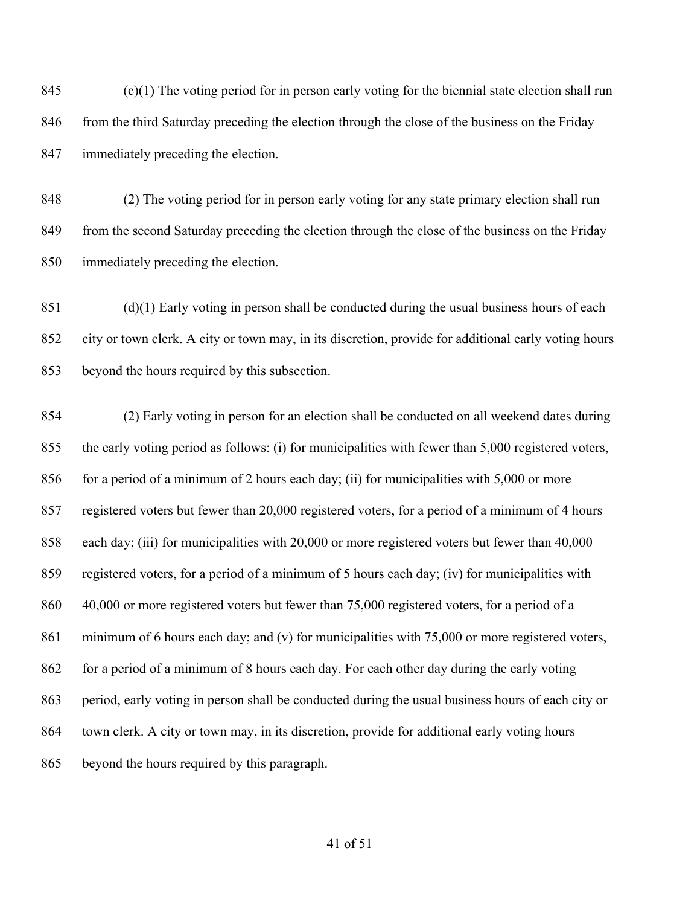(c)(1) The voting period for in person early voting for the biennial state election shall run 846 from the third Saturday preceding the election through the close of the business on the Friday immediately preceding the election.

 (2) The voting period for in person early voting for any state primary election shall run 849 from the second Saturday preceding the election through the close of the business on the Friday immediately preceding the election.

 (d)(1) Early voting in person shall be conducted during the usual business hours of each city or town clerk. A city or town may, in its discretion, provide for additional early voting hours beyond the hours required by this subsection.

 (2) Early voting in person for an election shall be conducted on all weekend dates during the early voting period as follows: (i) for municipalities with fewer than 5,000 registered voters, 856 for a period of a minimum of 2 hours each day; (ii) for municipalities with 5,000 or more registered voters but fewer than 20,000 registered voters, for a period of a minimum of 4 hours each day; (iii) for municipalities with 20,000 or more registered voters but fewer than 40,000 registered voters, for a period of a minimum of 5 hours each day; (iv) for municipalities with 860 40,000 or more registered voters but fewer than 75,000 registered voters, for a period of a minimum of 6 hours each day; and (v) for municipalities with 75,000 or more registered voters, 862 for a period of a minimum of 8 hours each day. For each other day during the early voting period, early voting in person shall be conducted during the usual business hours of each city or town clerk. A city or town may, in its discretion, provide for additional early voting hours beyond the hours required by this paragraph.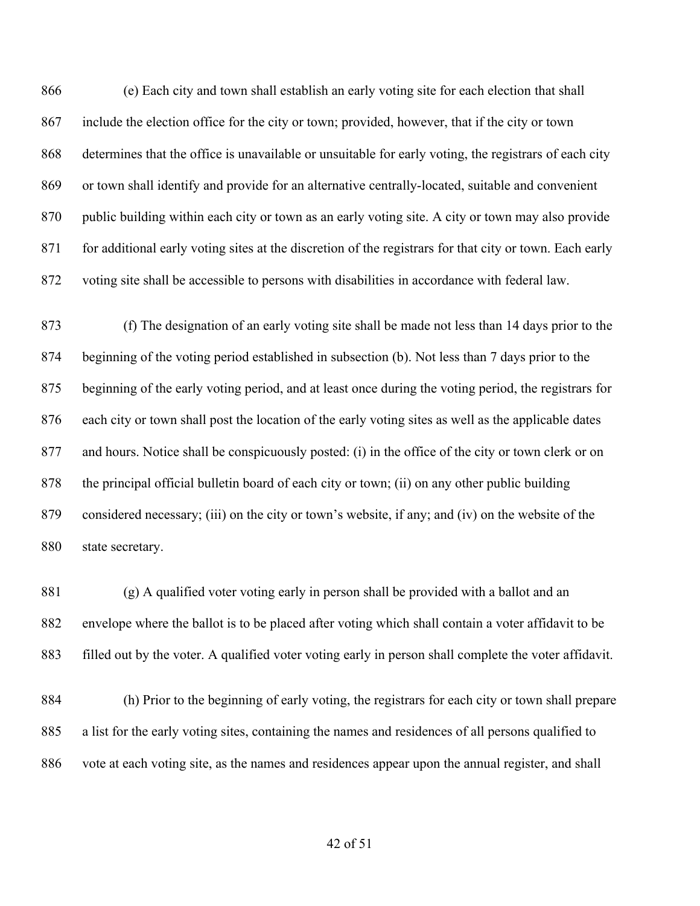(e) Each city and town shall establish an early voting site for each election that shall include the election office for the city or town; provided, however, that if the city or town determines that the office is unavailable or unsuitable for early voting, the registrars of each city or town shall identify and provide for an alternative centrally-located, suitable and convenient public building within each city or town as an early voting site. A city or town may also provide 871 for additional early voting sites at the discretion of the registrars for that city or town. Each early voting site shall be accessible to persons with disabilities in accordance with federal law.

 (f) The designation of an early voting site shall be made not less than 14 days prior to the beginning of the voting period established in subsection (b). Not less than 7 days prior to the beginning of the early voting period, and at least once during the voting period, the registrars for each city or town shall post the location of the early voting sites as well as the applicable dates and hours. Notice shall be conspicuously posted: (i) in the office of the city or town clerk or on the principal official bulletin board of each city or town; (ii) on any other public building considered necessary; (iii) on the city or town's website, if any; and (iv) on the website of the state secretary.

 (g) A qualified voter voting early in person shall be provided with a ballot and an envelope where the ballot is to be placed after voting which shall contain a voter affidavit to be filled out by the voter. A qualified voter voting early in person shall complete the voter affidavit.

 (h) Prior to the beginning of early voting, the registrars for each city or town shall prepare a list for the early voting sites, containing the names and residences of all persons qualified to vote at each voting site, as the names and residences appear upon the annual register, and shall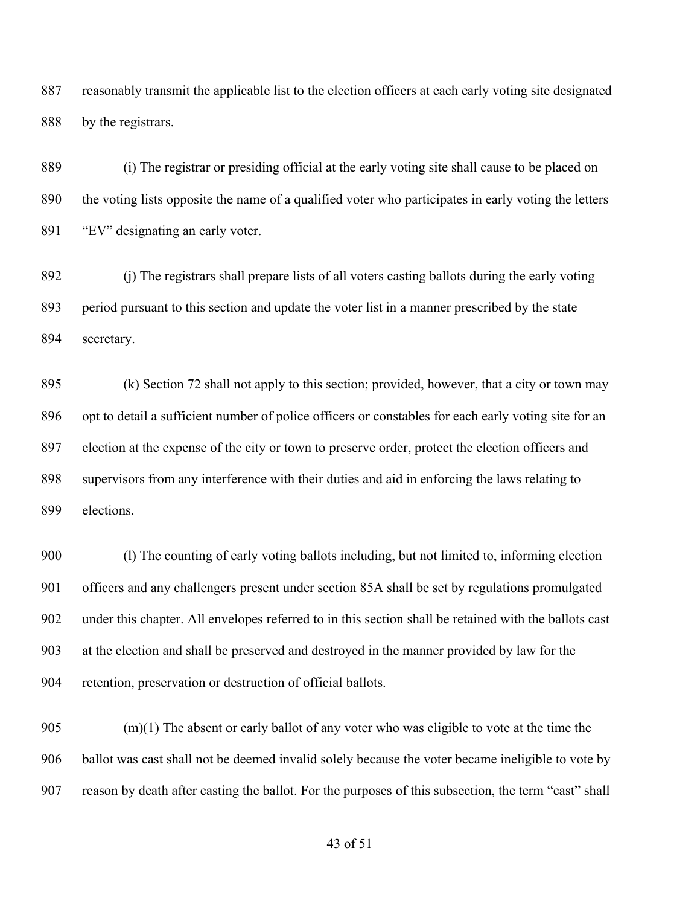reasonably transmit the applicable list to the election officers at each early voting site designated 888 by the registrars.

 (i) The registrar or presiding official at the early voting site shall cause to be placed on the voting lists opposite the name of a qualified voter who participates in early voting the letters 891 "EV" designating an early voter.

 (j) The registrars shall prepare lists of all voters casting ballots during the early voting period pursuant to this section and update the voter list in a manner prescribed by the state secretary.

 (k) Section 72 shall not apply to this section; provided, however, that a city or town may opt to detail a sufficient number of police officers or constables for each early voting site for an election at the expense of the city or town to preserve order, protect the election officers and supervisors from any interference with their duties and aid in enforcing the laws relating to elections.

 (l) The counting of early voting ballots including, but not limited to, informing election officers and any challengers present under section 85A shall be set by regulations promulgated under this chapter. All envelopes referred to in this section shall be retained with the ballots cast at the election and shall be preserved and destroyed in the manner provided by law for the retention, preservation or destruction of official ballots.

905 (m)(1) The absent or early ballot of any voter who was eligible to vote at the time the ballot was cast shall not be deemed invalid solely because the voter became ineligible to vote by reason by death after casting the ballot. For the purposes of this subsection, the term "cast" shall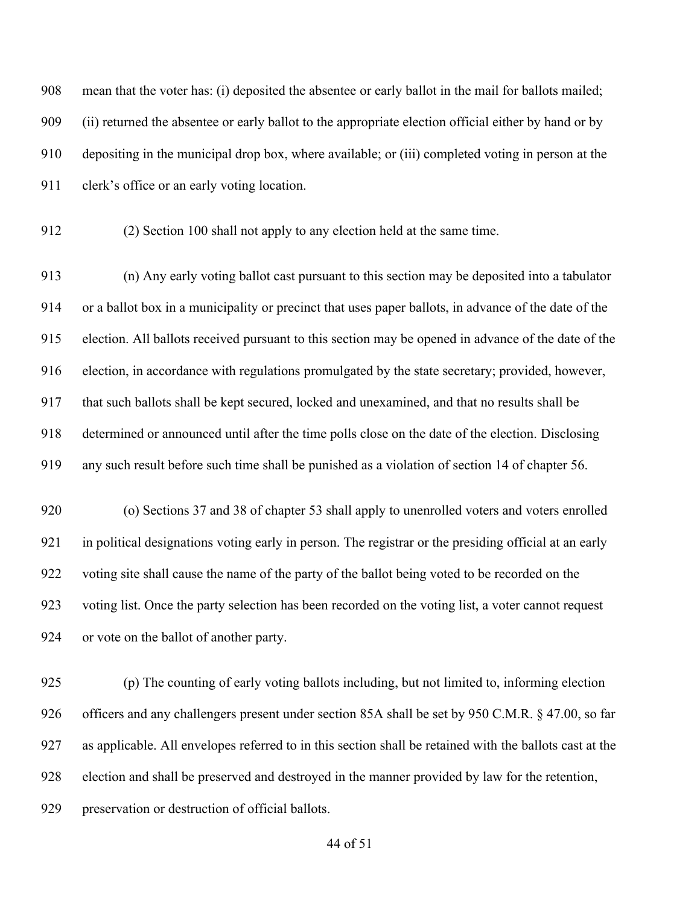mean that the voter has: (i) deposited the absentee or early ballot in the mail for ballots mailed; (ii) returned the absentee or early ballot to the appropriate election official either by hand or by depositing in the municipal drop box, where available; or (iii) completed voting in person at the clerk's office or an early voting location.

(2) Section 100 shall not apply to any election held at the same time.

 (n) Any early voting ballot cast pursuant to this section may be deposited into a tabulator or a ballot box in a municipality or precinct that uses paper ballots, in advance of the date of the election. All ballots received pursuant to this section may be opened in advance of the date of the election, in accordance with regulations promulgated by the state secretary; provided, however, that such ballots shall be kept secured, locked and unexamined, and that no results shall be determined or announced until after the time polls close on the date of the election. Disclosing any such result before such time shall be punished as a violation of section 14 of chapter 56.

 (o) Sections 37 and 38 of chapter 53 shall apply to unenrolled voters and voters enrolled in political designations voting early in person. The registrar or the presiding official at an early voting site shall cause the name of the party of the ballot being voted to be recorded on the voting list. Once the party selection has been recorded on the voting list, a voter cannot request or vote on the ballot of another party.

 (p) The counting of early voting ballots including, but not limited to, informing election officers and any challengers present under section 85A shall be set by 950 C.M.R. § 47.00, so far as applicable. All envelopes referred to in this section shall be retained with the ballots cast at the election and shall be preserved and destroyed in the manner provided by law for the retention, preservation or destruction of official ballots.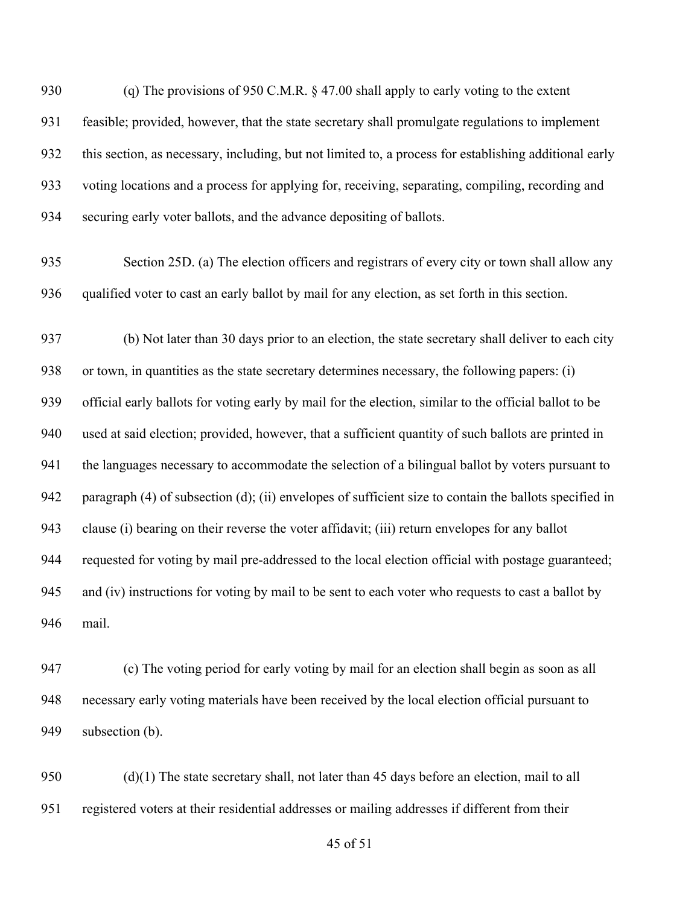930 (q) The provisions of 950 C.M.R. § 47.00 shall apply to early voting to the extent feasible; provided, however, that the state secretary shall promulgate regulations to implement this section, as necessary, including, but not limited to, a process for establishing additional early voting locations and a process for applying for, receiving, separating, compiling, recording and securing early voter ballots, and the advance depositing of ballots.

 Section 25D. (a) The election officers and registrars of every city or town shall allow any qualified voter to cast an early ballot by mail for any election, as set forth in this section.

 (b) Not later than 30 days prior to an election, the state secretary shall deliver to each city or town, in quantities as the state secretary determines necessary, the following papers: (i) official early ballots for voting early by mail for the election, similar to the official ballot to be used at said election; provided, however, that a sufficient quantity of such ballots are printed in 941 the languages necessary to accommodate the selection of a bilingual ballot by voters pursuant to paragraph (4) of subsection (d); (ii) envelopes of sufficient size to contain the ballots specified in clause (i) bearing on their reverse the voter affidavit; (iii) return envelopes for any ballot requested for voting by mail pre-addressed to the local election official with postage guaranteed; and (iv) instructions for voting by mail to be sent to each voter who requests to cast a ballot by mail.

 (c) The voting period for early voting by mail for an election shall begin as soon as all necessary early voting materials have been received by the local election official pursuant to subsection (b).

 (d)(1) The state secretary shall, not later than 45 days before an election, mail to all registered voters at their residential addresses or mailing addresses if different from their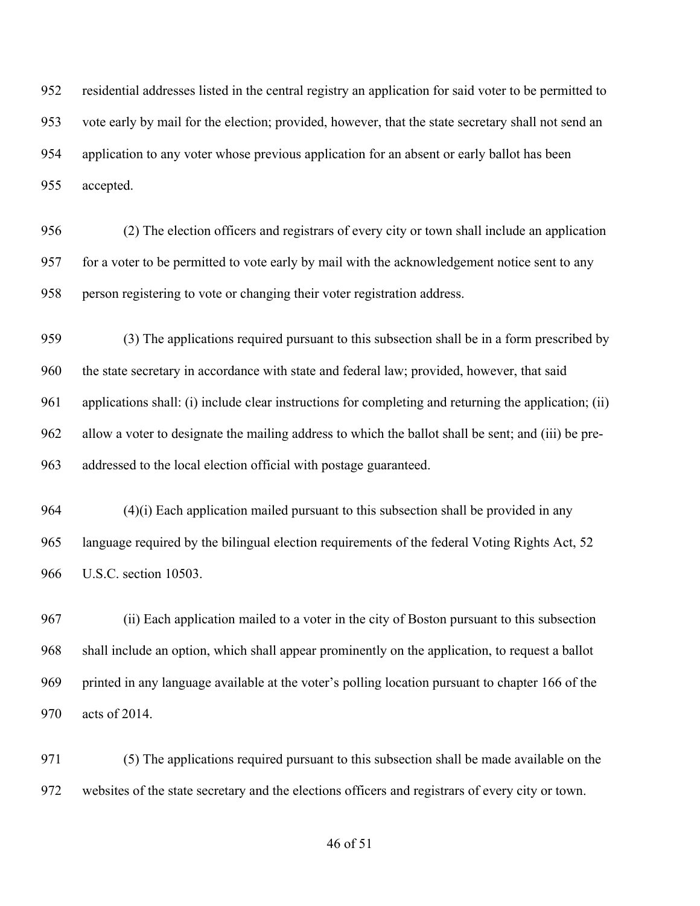residential addresses listed in the central registry an application for said voter to be permitted to vote early by mail for the election; provided, however, that the state secretary shall not send an application to any voter whose previous application for an absent or early ballot has been accepted.

 (2) The election officers and registrars of every city or town shall include an application for a voter to be permitted to vote early by mail with the acknowledgement notice sent to any person registering to vote or changing their voter registration address.

 (3) The applications required pursuant to this subsection shall be in a form prescribed by the state secretary in accordance with state and federal law; provided, however, that said applications shall: (i) include clear instructions for completing and returning the application; (ii) allow a voter to designate the mailing address to which the ballot shall be sent; and (iii) be pre-addressed to the local election official with postage guaranteed.

 (4)(i) Each application mailed pursuant to this subsection shall be provided in any language required by the bilingual election requirements of the federal Voting Rights Act, 52 U.S.C. section 10503.

 (ii) Each application mailed to a voter in the city of Boston pursuant to this subsection shall include an option, which shall appear prominently on the application, to request a ballot printed in any language available at the voter's polling location pursuant to chapter 166 of the acts of 2014.

 (5) The applications required pursuant to this subsection shall be made available on the websites of the state secretary and the elections officers and registrars of every city or town.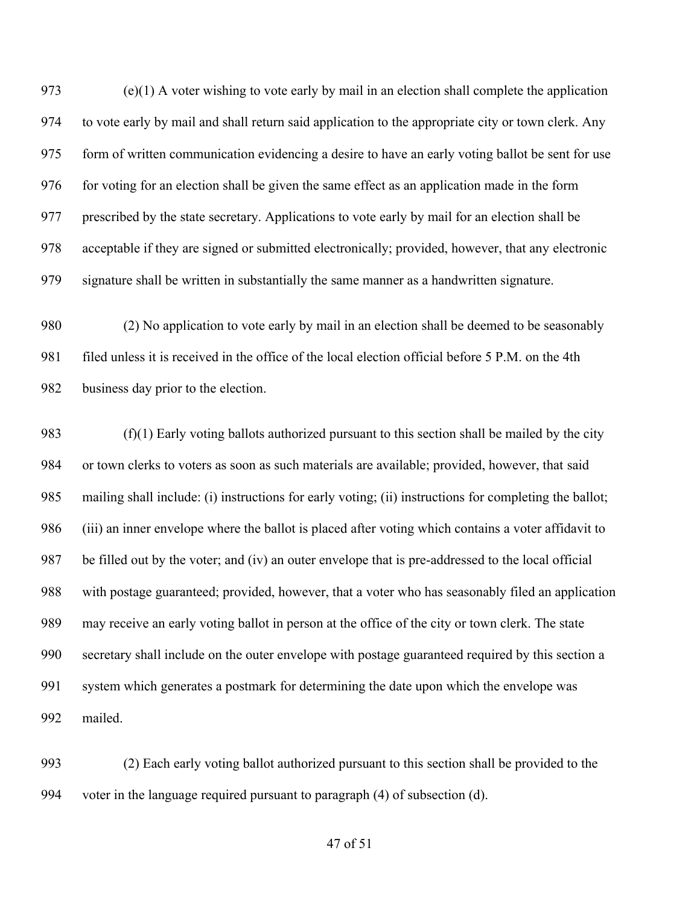(e)(1) A voter wishing to vote early by mail in an election shall complete the application to vote early by mail and shall return said application to the appropriate city or town clerk. Any form of written communication evidencing a desire to have an early voting ballot be sent for use for voting for an election shall be given the same effect as an application made in the form prescribed by the state secretary. Applications to vote early by mail for an election shall be acceptable if they are signed or submitted electronically; provided, however, that any electronic signature shall be written in substantially the same manner as a handwritten signature.

 (2) No application to vote early by mail in an election shall be deemed to be seasonably filed unless it is received in the office of the local election official before 5 P.M. on the 4th business day prior to the election.

 (f)(1) Early voting ballots authorized pursuant to this section shall be mailed by the city or town clerks to voters as soon as such materials are available; provided, however, that said mailing shall include: (i) instructions for early voting; (ii) instructions for completing the ballot; (iii) an inner envelope where the ballot is placed after voting which contains a voter affidavit to be filled out by the voter; and (iv) an outer envelope that is pre-addressed to the local official with postage guaranteed; provided, however, that a voter who has seasonably filed an application may receive an early voting ballot in person at the office of the city or town clerk. The state secretary shall include on the outer envelope with postage guaranteed required by this section a system which generates a postmark for determining the date upon which the envelope was mailed.

 (2) Each early voting ballot authorized pursuant to this section shall be provided to the voter in the language required pursuant to paragraph (4) of subsection (d).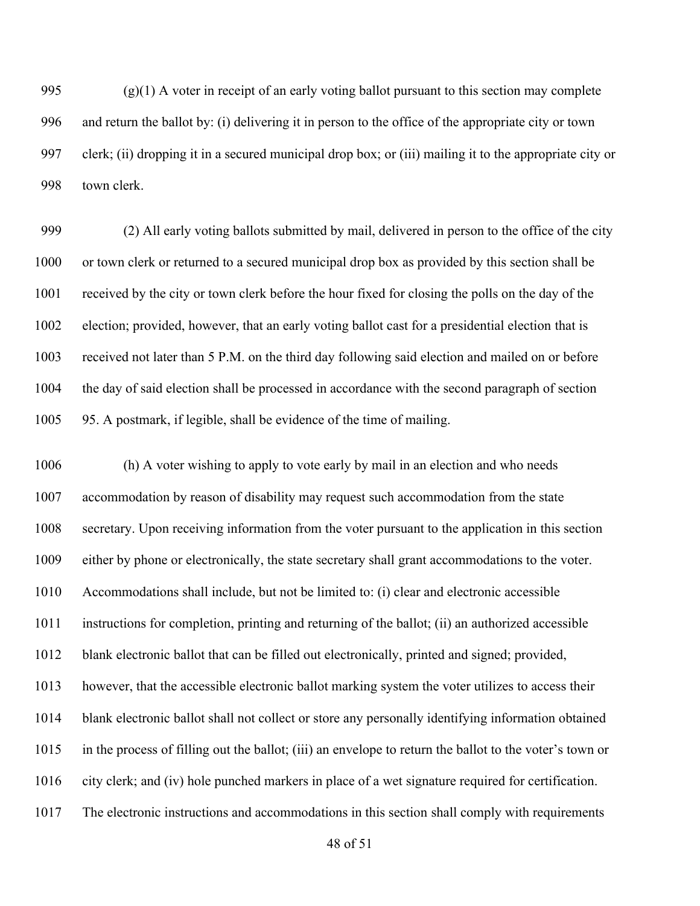995 (g)(1) A voter in receipt of an early voting ballot pursuant to this section may complete and return the ballot by: (i) delivering it in person to the office of the appropriate city or town clerk; (ii) dropping it in a secured municipal drop box; or (iii) mailing it to the appropriate city or town clerk.

 (2) All early voting ballots submitted by mail, delivered in person to the office of the city or town clerk or returned to a secured municipal drop box as provided by this section shall be received by the city or town clerk before the hour fixed for closing the polls on the day of the election; provided, however, that an early voting ballot cast for a presidential election that is received not later than 5 P.M. on the third day following said election and mailed on or before the day of said election shall be processed in accordance with the second paragraph of section 95. A postmark, if legible, shall be evidence of the time of mailing.

 (h) A voter wishing to apply to vote early by mail in an election and who needs accommodation by reason of disability may request such accommodation from the state secretary. Upon receiving information from the voter pursuant to the application in this section either by phone or electronically, the state secretary shall grant accommodations to the voter. Accommodations shall include, but not be limited to: (i) clear and electronic accessible instructions for completion, printing and returning of the ballot; (ii) an authorized accessible blank electronic ballot that can be filled out electronically, printed and signed; provided, however, that the accessible electronic ballot marking system the voter utilizes to access their blank electronic ballot shall not collect or store any personally identifying information obtained in the process of filling out the ballot; (iii) an envelope to return the ballot to the voter's town or city clerk; and (iv) hole punched markers in place of a wet signature required for certification. The electronic instructions and accommodations in this section shall comply with requirements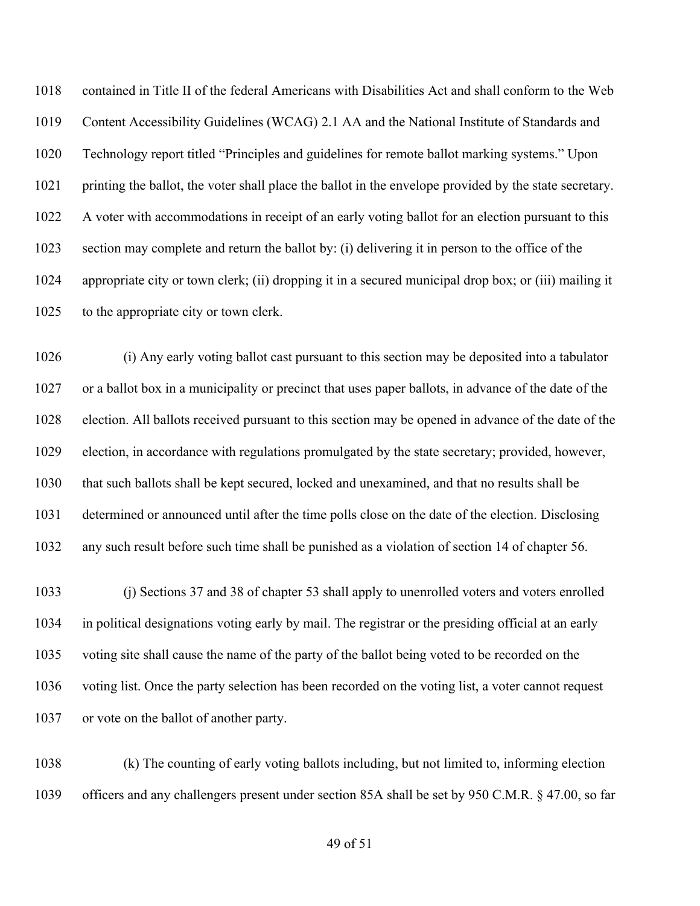contained in Title II of the federal Americans with Disabilities Act and shall conform to the Web Content Accessibility Guidelines (WCAG) 2.1 AA and the National Institute of Standards and Technology report titled "Principles and guidelines for remote ballot marking systems." Upon printing the ballot, the voter shall place the ballot in the envelope provided by the state secretary. A voter with accommodations in receipt of an early voting ballot for an election pursuant to this section may complete and return the ballot by: (i) delivering it in person to the office of the appropriate city or town clerk; (ii) dropping it in a secured municipal drop box; or (iii) mailing it 1025 to the appropriate city or town clerk.

 (i) Any early voting ballot cast pursuant to this section may be deposited into a tabulator or a ballot box in a municipality or precinct that uses paper ballots, in advance of the date of the election. All ballots received pursuant to this section may be opened in advance of the date of the election, in accordance with regulations promulgated by the state secretary; provided, however, that such ballots shall be kept secured, locked and unexamined, and that no results shall be determined or announced until after the time polls close on the date of the election. Disclosing any such result before such time shall be punished as a violation of section 14 of chapter 56.

 (j) Sections 37 and 38 of chapter 53 shall apply to unenrolled voters and voters enrolled in political designations voting early by mail. The registrar or the presiding official at an early voting site shall cause the name of the party of the ballot being voted to be recorded on the voting list. Once the party selection has been recorded on the voting list, a voter cannot request or vote on the ballot of another party.

 (k) The counting of early voting ballots including, but not limited to, informing election officers and any challengers present under section 85A shall be set by 950 C.M.R. § 47.00, so far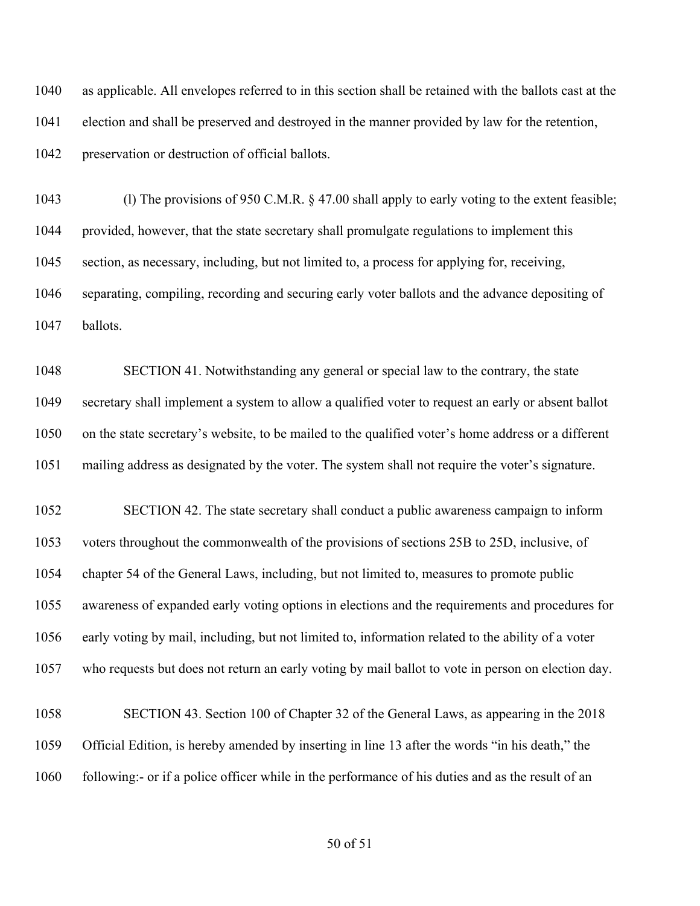as applicable. All envelopes referred to in this section shall be retained with the ballots cast at the election and shall be preserved and destroyed in the manner provided by law for the retention, preservation or destruction of official ballots.

 (l) The provisions of 950 C.M.R. § 47.00 shall apply to early voting to the extent feasible; provided, however, that the state secretary shall promulgate regulations to implement this section, as necessary, including, but not limited to, a process for applying for, receiving, separating, compiling, recording and securing early voter ballots and the advance depositing of ballots.

 SECTION 41. Notwithstanding any general or special law to the contrary, the state secretary shall implement a system to allow a qualified voter to request an early or absent ballot on the state secretary's website, to be mailed to the qualified voter's home address or a different mailing address as designated by the voter. The system shall not require the voter's signature.

 SECTION 42. The state secretary shall conduct a public awareness campaign to inform voters throughout the commonwealth of the provisions of sections 25B to 25D, inclusive, of chapter 54 of the General Laws, including, but not limited to, measures to promote public awareness of expanded early voting options in elections and the requirements and procedures for early voting by mail, including, but not limited to, information related to the ability of a voter who requests but does not return an early voting by mail ballot to vote in person on election day.

 SECTION 43. Section 100 of Chapter 32 of the General Laws, as appearing in the 2018 Official Edition, is hereby amended by inserting in line 13 after the words "in his death," the following:- or if a police officer while in the performance of his duties and as the result of an